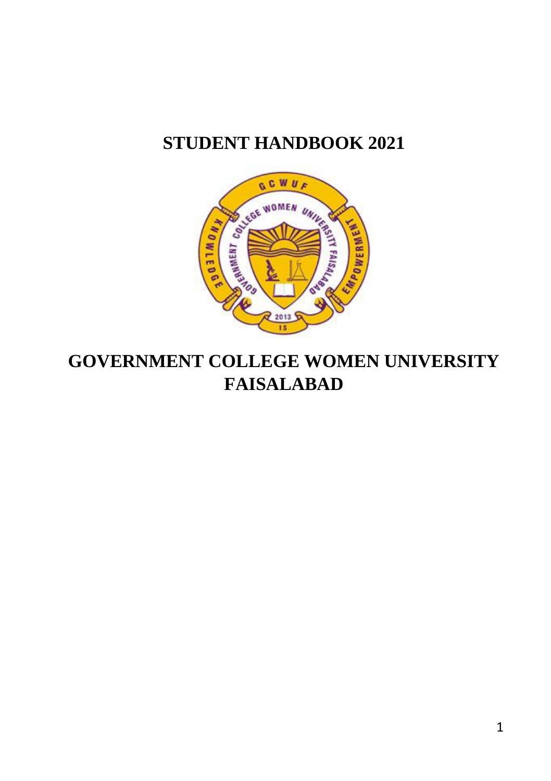## **STUDENT HANDBOOK 2021**



## **GOVERNMENT COLLEGE WOMEN UNIVERSITY FAISALABAD**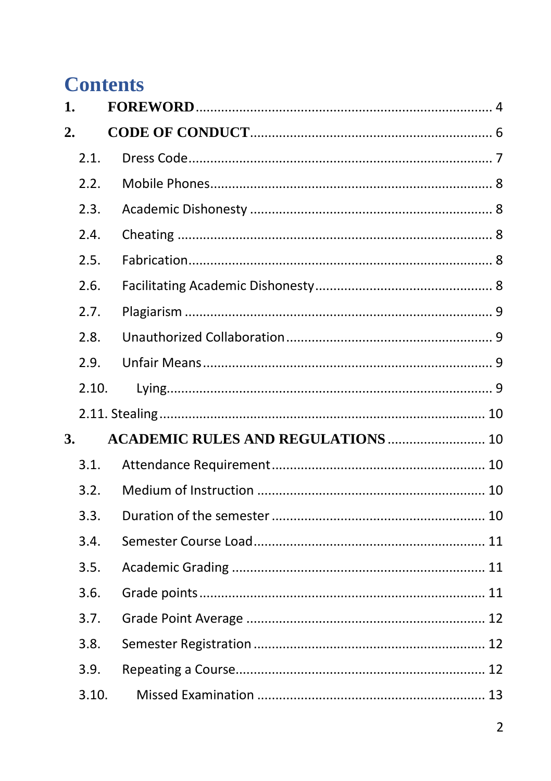# **Contents**

| 1. |       |                                           |  |
|----|-------|-------------------------------------------|--|
| 2. |       |                                           |  |
|    | 2.1.  |                                           |  |
|    | 2.2.  |                                           |  |
|    | 2.3.  |                                           |  |
|    | 2.4.  |                                           |  |
|    | 2.5.  |                                           |  |
|    | 2.6.  |                                           |  |
|    | 2.7.  |                                           |  |
|    | 2.8.  |                                           |  |
|    | 2.9.  |                                           |  |
|    | 2.10. |                                           |  |
|    |       |                                           |  |
| 3. |       | <b>ACADEMIC RULES AND REGULATIONS  10</b> |  |
|    | 3.1.  |                                           |  |
|    | 3.2.  |                                           |  |
|    | 3.3.  |                                           |  |
|    | 3.4.  |                                           |  |
|    | 3.5.  |                                           |  |
|    | 3.6.  |                                           |  |
|    | 3.7.  |                                           |  |
|    | 3.8.  |                                           |  |
|    | 3.9.  |                                           |  |
|    | 3.10. |                                           |  |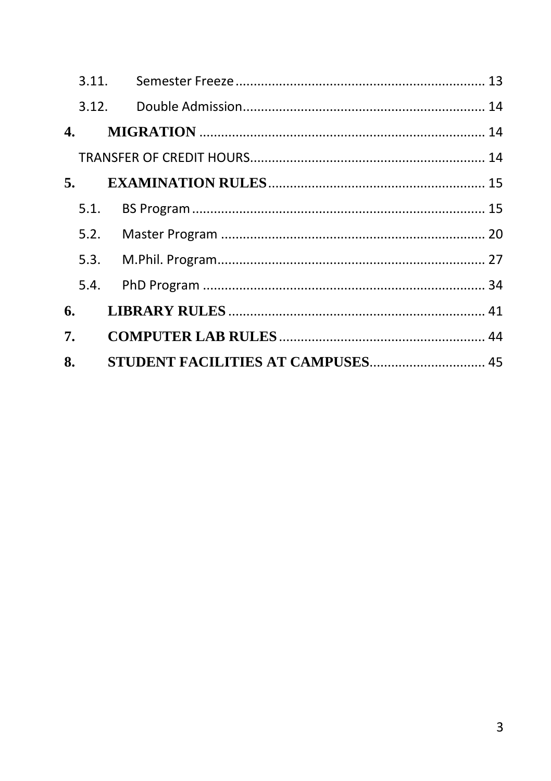| 6. |  |  |
|----|--|--|
| 7. |  |  |
| 8. |  |  |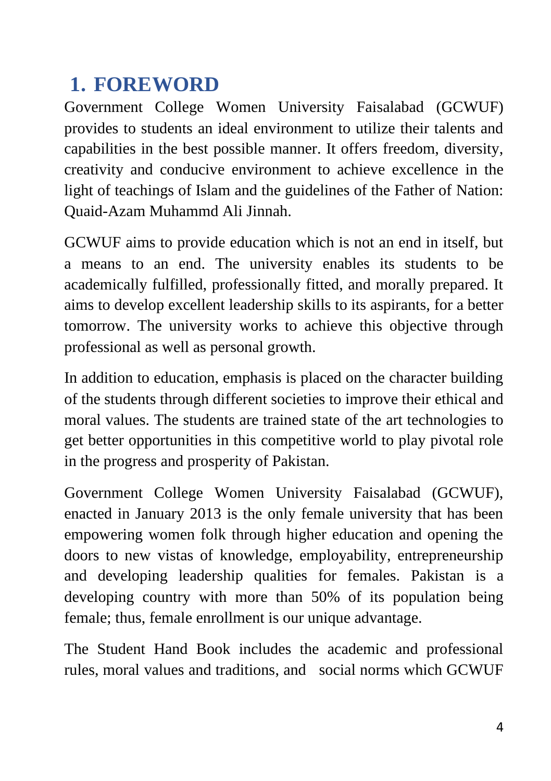# <span id="page-3-0"></span>**1. FOREWORD**

Government College Women University Faisalabad (GCWUF) provides to students an ideal environment to utilize their talents and capabilities in the best possible manner. It offers freedom, diversity, creativity and conducive environment to achieve excellence in the light of teachings of Islam and the guidelines of the Father of Nation: Quaid-Azam Muhammd Ali Jinnah.

GCWUF aims to provide education which is not an end in itself, but a means to an end. The university enables its students to be academically fulfilled, professionally fitted, and morally prepared. It aims to develop excellent leadership skills to its aspirants, for a better tomorrow. The university works to achieve this objective through professional as well as personal growth.

In addition to education, emphasis is placed on the character building of the students through different societies to improve their ethical and moral values. The students are trained state of the art technologies to get better opportunities in this competitive world to play pivotal role in the progress and prosperity of Pakistan.

Government College Women University Faisalabad (GCWUF), enacted in January 2013 is the only female university that has been empowering women folk through higher education and opening the doors to new vistas of knowledge, employability, entrepreneurship and developing leadership qualities for females. Pakistan is a developing country with more than 50% of its population being female; thus, female enrollment is our unique advantage.

The Student Hand Book includes the academic and professional rules, moral values and traditions, and social norms which GCWUF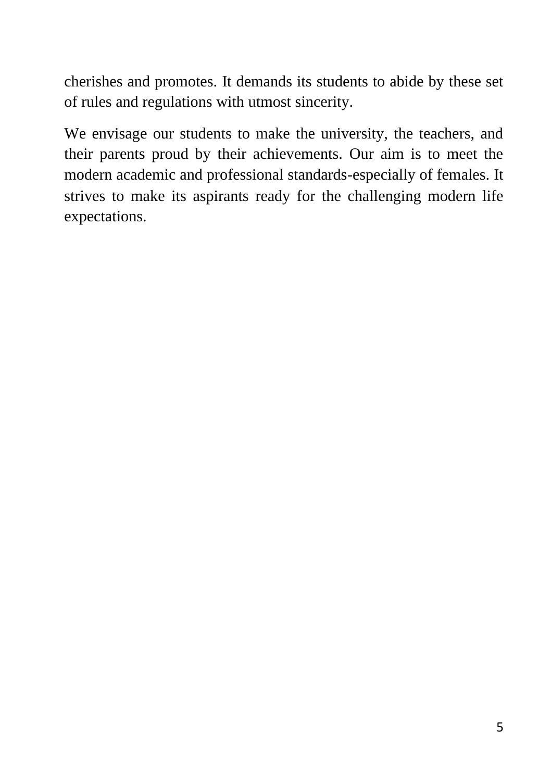cherishes and promotes. It demands its students to abide by these set of rules and regulations with utmost sincerity.

We envisage our students to make the university, the teachers, and their parents proud by their achievements. Our aim is to meet the modern academic and professional standards-especially of females. It strives to make its aspirants ready for the challenging modern life expectations.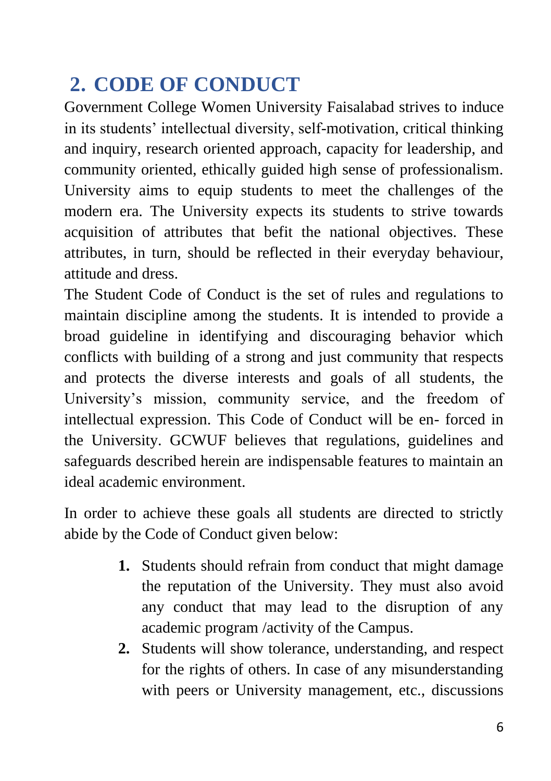# <span id="page-5-0"></span>**2. CODE OF CONDUCT**

Government College Women University Faisalabad strives to induce in its students' intellectual diversity, self-motivation, critical thinking and inquiry, research oriented approach, capacity for leadership, and community oriented, ethically guided high sense of professionalism. University aims to equip students to meet the challenges of the modern era. The University expects its students to strive towards acquisition of attributes that befit the national objectives. These attributes, in turn, should be reflected in their everyday behaviour, attitude and dress.

The Student Code of Conduct is the set of rules and regulations to maintain discipline among the students. It is intended to provide a broad guideline in identifying and discouraging behavior which conflicts with building of a strong and just community that respects and protects the diverse interests and goals of all students, the University's mission, community service, and the freedom of intellectual expression. This Code of Conduct will be en- forced in the University. GCWUF believes that regulations, guidelines and safeguards described herein are indispensable features to maintain an ideal academic environment.

In order to achieve these goals all students are directed to strictly abide by the Code of Conduct given below:

- **1.** Students should refrain from conduct that might damage the reputation of the University. They must also avoid any conduct that may lead to the disruption of any academic program /activity of the Campus.
- **2.** Students will show tolerance, understanding, and respect for the rights of others. In case of any misunderstanding with peers or University management, etc., discussions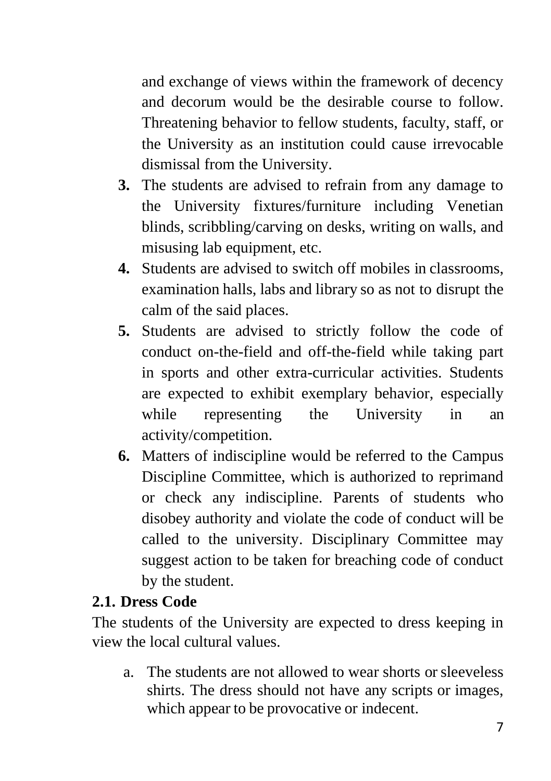and exchange of views within the framework of decency and decorum would be the desirable course to follow. Threatening behavior to fellow students, faculty, staff, or the University as an institution could cause irrevocable dismissal from the University.

- **3.** The students are advised to refrain from any damage to the University fixtures/furniture including Venetian blinds, scribbling/carving on desks, writing on walls, and misusing lab equipment, etc.
- **4.** Students are advised to switch off mobiles in classrooms, examination halls, labs and library so as not to disrupt the calm of the said places.
- **5.** Students are advised to strictly follow the code of conduct on-the-field and off-the-field while taking part in sports and other extra-curricular activities. Students are expected to exhibit exemplary behavior, especially while representing the University in an activity/competition.
- **6.** Matters of indiscipline would be referred to the Campus Discipline Committee, which is authorized to reprimand or check any indiscipline. Parents of students who disobey authority and violate the code of conduct will be called to the university. Disciplinary Committee may suggest action to be taken for breaching code of conduct by the student.

## <span id="page-6-0"></span>**2.1. Dress Code**

The students of the University are expected to dress keeping in view the local cultural values.

a. The students are not allowed to wear shorts or sleeveless shirts. The dress should not have any scripts or images, which appear to be provocative or indecent.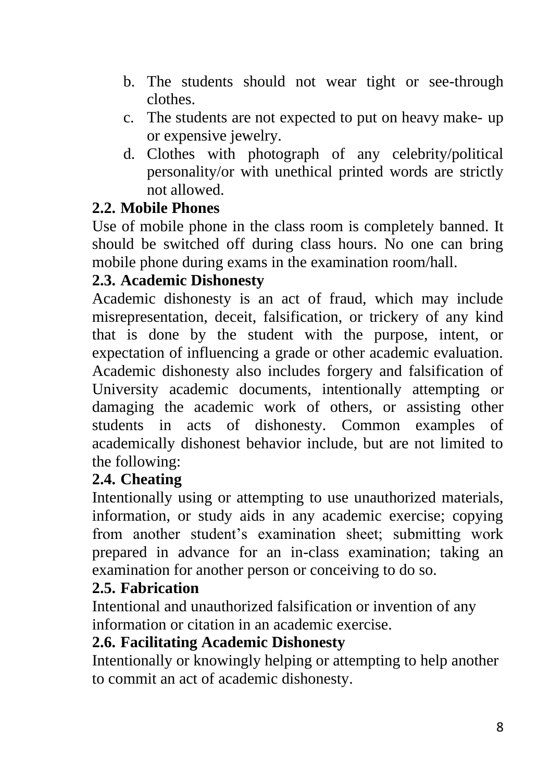- b. The students should not wear tight or see-through clothes.
- c. The students are not expected to put on heavy make- up or expensive jewelry.
- d. Clothes with photograph of any celebrity/political personality/or with unethical printed words are strictly not allowed.

## <span id="page-7-0"></span>**2.2. Mobile Phones**

Use of mobile phone in the class room is completely banned. It should be switched off during class hours. No one can bring mobile phone during exams in the examination room/hall.

## <span id="page-7-1"></span>**2.3. Academic Dishonesty**

Academic dishonesty is an act of fraud, which may include misrepresentation, deceit, falsification, or trickery of any kind that is done by the student with the purpose, intent, or expectation of influencing a grade or other academic evaluation. Academic dishonesty also includes forgery and falsification of University academic documents, intentionally attempting or damaging the academic work of others, or assisting other students in acts of dishonesty. Common examples of academically dishonest behavior include, but are not limited to the following:

### <span id="page-7-2"></span>**2.4. Cheating**

Intentionally using or attempting to use unauthorized materials, information, or study aids in any academic exercise; copying from another student's examination sheet; submitting work prepared in advance for an in-class examination; taking an examination for another person or conceiving to do so.

### <span id="page-7-3"></span>**2.5. Fabrication**

Intentional and unauthorized falsification or invention of any information or citation in an academic exercise.

## <span id="page-7-4"></span>**2.6. Facilitating Academic Dishonesty**

Intentionally or knowingly helping or attempting to help another to commit an act of academic dishonesty.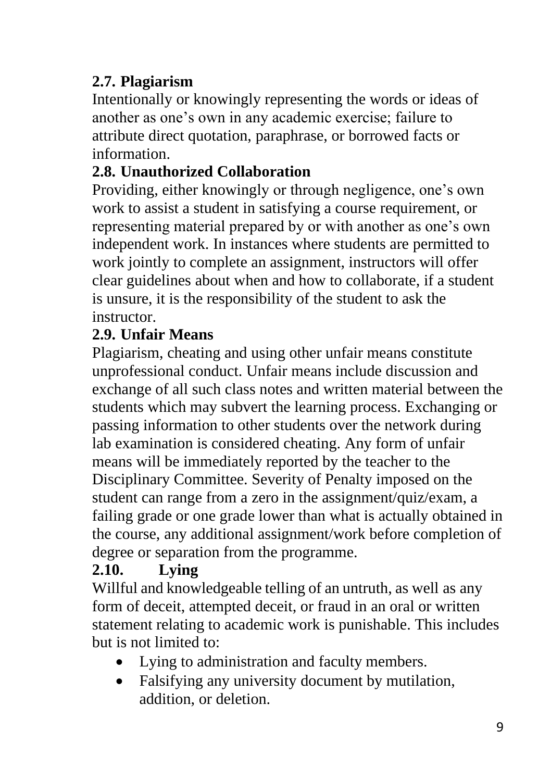## <span id="page-8-0"></span>**2.7. Plagiarism**

Intentionally or knowingly representing the words or ideas of another as one's own in any academic exercise; failure to attribute direct quotation, paraphrase, or borrowed facts or information.

## <span id="page-8-1"></span>**2.8. Unauthorized Collaboration**

Providing, either knowingly or through negligence, one's own work to assist a student in satisfying a course requirement, or representing material prepared by or with another as one's own independent work. In instances where students are permitted to work jointly to complete an assignment, instructors will offer clear guidelines about when and how to collaborate, if a student is unsure, it is the responsibility of the student to ask the instructor.

## <span id="page-8-2"></span>**2.9. Unfair Means**

Plagiarism, cheating and using other unfair means constitute unprofessional conduct. Unfair means include discussion and exchange of all such class notes and written material between the students which may subvert the learning process. Exchanging or passing information to other students over the network during lab examination is considered cheating. Any form of unfair means will be immediately reported by the teacher to the Disciplinary Committee. Severity of Penalty imposed on the student can range from a zero in the assignment/quiz/exam, a failing grade or one grade lower than what is actually obtained in the course, any additional assignment/work before completion of degree or separation from the programme.

## <span id="page-8-3"></span>**2.10. Lying**

Willful and knowledgeable telling of an untruth, as well as any form of deceit, attempted deceit, or fraud in an oral or written statement relating to academic work is punishable. This includes but is not limited to:

- Lying to administration and faculty members.
- Falsifying any university document by mutilation, addition, or deletion.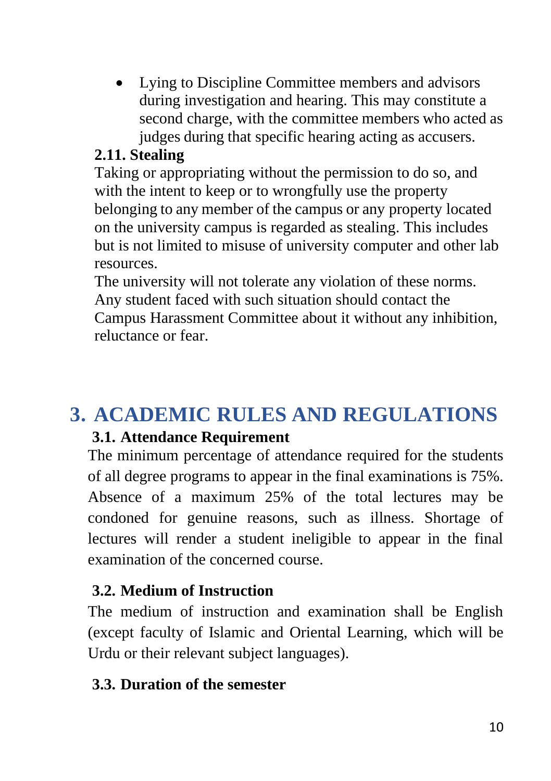• Lying to Discipline Committee members and advisors during investigation and hearing. This may constitute a second charge, with the committee members who acted as judges during that specific hearing acting as accusers.

### <span id="page-9-0"></span>**2.11. Stealing**

Taking or appropriating without the permission to do so, and with the intent to keep or to wrongfully use the property belonging to any member of the campus or any property located on the university campus is regarded as stealing. This includes but is not limited to misuse of university computer and other lab resources.

The university will not tolerate any violation of these norms. Any student faced with such situation should contact the Campus Harassment Committee about it without any inhibition, reluctance or fear.

# <span id="page-9-2"></span><span id="page-9-1"></span>**3. ACADEMIC RULES AND REGULATIONS**

### **3.1. Attendance Requirement**

The minimum percentage of attendance required for the students of all degree programs to appear in the final examinations is 75%. Absence of a maximum 25% of the total lectures may be condoned for genuine reasons, such as illness. Shortage of lectures will render a student ineligible to appear in the final examination of the concerned course.

### <span id="page-9-3"></span>**3.2. Medium of Instruction**

The medium of instruction and examination shall be English (except faculty of Islamic and Oriental Learning, which will be Urdu or their relevant subject languages).

#### <span id="page-9-4"></span>**3.3. Duration of the semester**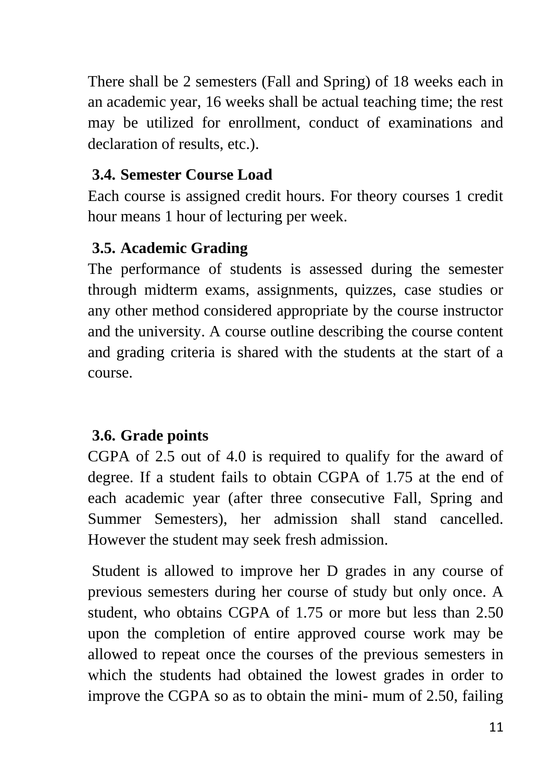There shall be 2 semesters (Fall and Spring) of 18 weeks each in an academic year, 16 weeks shall be actual teaching time; the rest may be utilized for enrollment, conduct of examinations and declaration of results, etc.).

### <span id="page-10-0"></span>**3.4. Semester Course Load**

Each course is assigned credit hours. For theory courses 1 credit hour means 1 hour of lecturing per week.

## <span id="page-10-1"></span>**3.5. Academic Grading**

The performance of students is assessed during the semester through midterm exams, assignments, quizzes, case studies or any other method considered appropriate by the course instructor and the university. A course outline describing the course content and grading criteria is shared with the students at the start of a course.

## <span id="page-10-2"></span>**3.6. Grade points**

CGPA of 2.5 out of 4.0 is required to qualify for the award of degree. If a student fails to obtain CGPA of 1.75 at the end of each academic year (after three consecutive Fall, Spring and Summer Semesters), her admission shall stand cancelled. However the student may seek fresh admission.

Student is allowed to improve her D grades in any course of previous semesters during her course of study but only once. A student, who obtains CGPA of 1.75 or more but less than 2.50 upon the completion of entire approved course work may be allowed to repeat once the courses of the previous semesters in which the students had obtained the lowest grades in order to improve the CGPA so as to obtain the mini- mum of 2.50, failing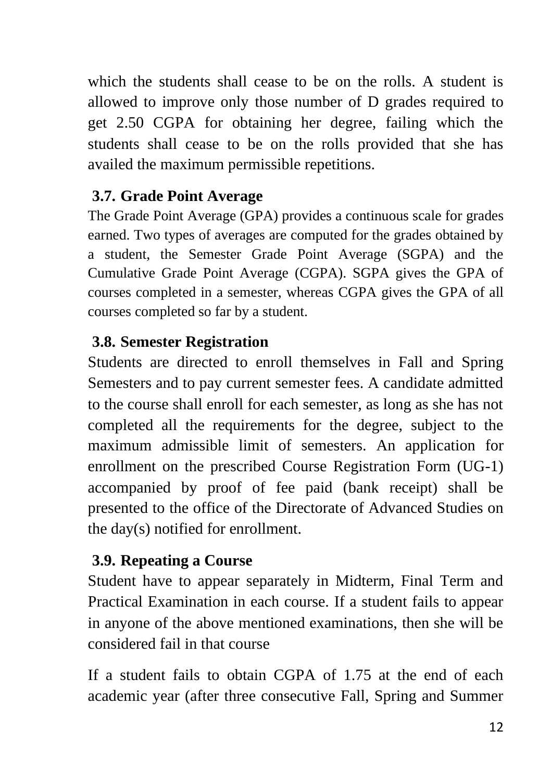which the students shall cease to be on the rolls. A student is allowed to improve only those number of D grades required to get 2.50 CGPA for obtaining her degree, failing which the students shall cease to be on the rolls provided that she has availed the maximum permissible repetitions.

## <span id="page-11-0"></span>**3.7. Grade Point Average**

The Grade Point Average (GPA) provides a continuous scale for grades earned. Two types of averages are computed for the grades obtained by a student, the Semester Grade Point Average (SGPA) and the Cumulative Grade Point Average (CGPA). SGPA gives the GPA of courses completed in a semester, whereas CGPA gives the GPA of all courses completed so far by a student.

## <span id="page-11-1"></span>**3.8. Semester Registration**

Students are directed to enroll themselves in Fall and Spring Semesters and to pay current semester fees. A candidate admitted to the course shall enroll for each semester, as long as she has not completed all the requirements for the degree, subject to the maximum admissible limit of semesters. An application for enrollment on the prescribed Course Registration Form (UG-1) accompanied by proof of fee paid (bank receipt) shall be presented to the office of the Directorate of Advanced Studies on the day(s) notified for enrollment.

## <span id="page-11-2"></span>**3.9. Repeating a Course**

Student have to appear separately in Midterm, Final Term and Practical Examination in each course. If a student fails to appear in anyone of the above mentioned examinations, then she will be considered fail in that course

If a student fails to obtain CGPA of 1.75 at the end of each academic year (after three consecutive Fall, Spring and Summer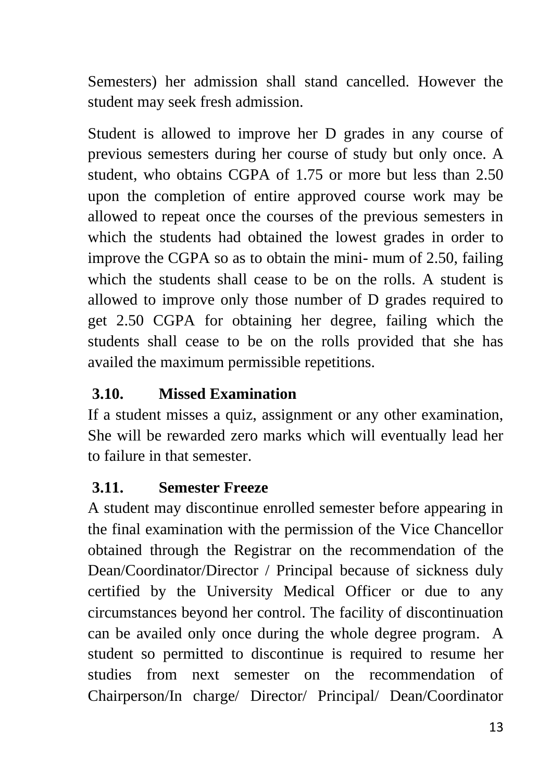Semesters) her admission shall stand cancelled. However the student may seek fresh admission.

Student is allowed to improve her D grades in any course of previous semesters during her course of study but only once. A student, who obtains CGPA of 1.75 or more but less than 2.50 upon the completion of entire approved course work may be allowed to repeat once the courses of the previous semesters in which the students had obtained the lowest grades in order to improve the CGPA so as to obtain the mini- mum of 2.50, failing which the students shall cease to be on the rolls. A student is allowed to improve only those number of D grades required to get 2.50 CGPA for obtaining her degree, failing which the students shall cease to be on the rolls provided that she has availed the maximum permissible repetitions.

## <span id="page-12-0"></span>**3.10. Missed Examination**

If a student misses a quiz, assignment or any other examination, She will be rewarded zero marks which will eventually lead her to failure in that semester.

## <span id="page-12-1"></span>**3.11. Semester Freeze**

A student may discontinue enrolled semester before appearing in the final examination with the permission of the Vice Chancellor obtained through the Registrar on the recommendation of the Dean/Coordinator/Director / Principal because of sickness duly certified by the University Medical Officer or due to any circumstances beyond her control. The facility of discontinuation can be availed only once during the whole degree program. A student so permitted to discontinue is required to resume her studies from next semester on the recommendation of Chairperson/In charge/ Director/ Principal/ Dean/Coordinator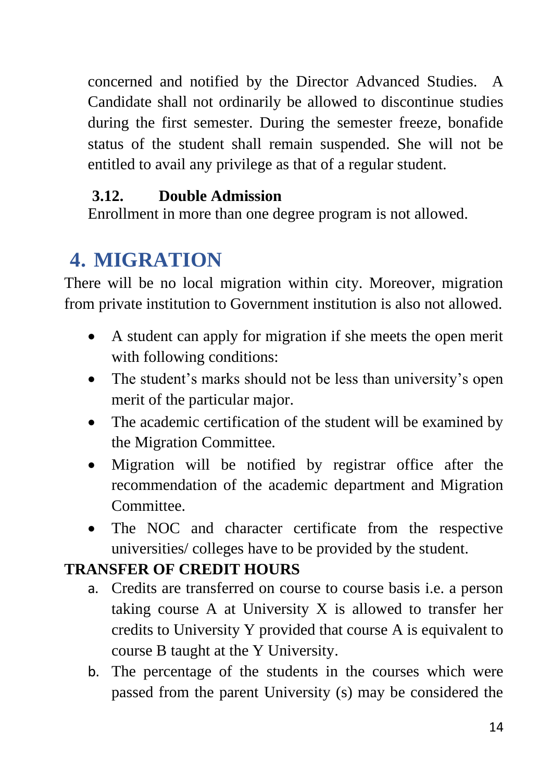concerned and notified by the Director Advanced Studies. A Candidate shall not ordinarily be allowed to discontinue studies during the first semester. During the semester freeze, bonafide status of the student shall remain suspended. She will not be entitled to avail any privilege as that of a regular student.

## <span id="page-13-0"></span>**3.12. Double Admission**

Enrollment in more than one degree program is not allowed.

# <span id="page-13-1"></span>**4. MIGRATION**

There will be no local migration within city. Moreover, migration from private institution to Government institution is also not allowed.

- A student can apply for migration if she meets the open merit with following conditions:
- The student's marks should not be less than university's open merit of the particular major.
- The academic certification of the student will be examined by the Migration Committee.
- Migration will be notified by registrar office after the recommendation of the academic department and Migration Committee.
- The NOC and character certificate from the respective universities/ colleges have to be provided by the student.

## <span id="page-13-2"></span>**TRANSFER OF CREDIT HOURS**

- a. Credits are transferred on course to course basis i.e. a person taking course A at University X is allowed to transfer her credits to University Y provided that course A is equivalent to course B taught at the Y University.
- b. The percentage of the students in the courses which were passed from the parent University (s) may be considered the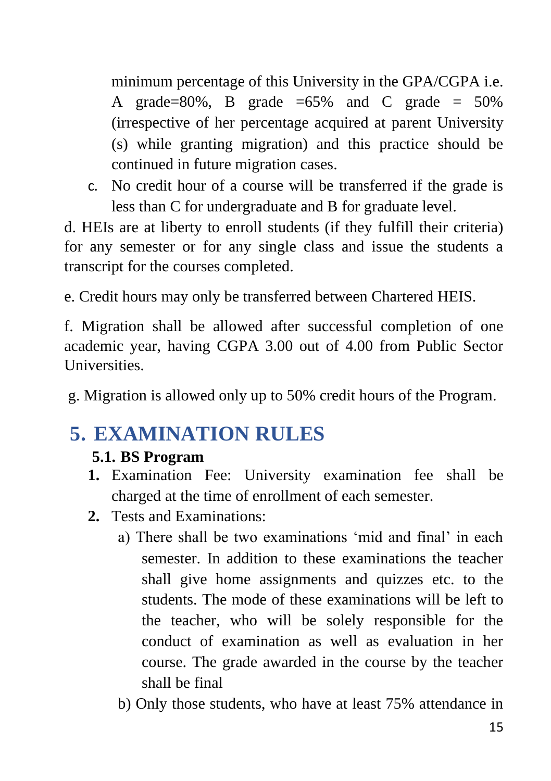minimum percentage of this University in the GPA/CGPA i.e. A grade=80%, B grade =65% and C grade =  $50\%$ (irrespective of her percentage acquired at parent University (s) while granting migration) and this practice should be continued in future migration cases.

c. No credit hour of a course will be transferred if the grade is less than C for undergraduate and B for graduate level.

d. HEIs are at liberty to enroll students (if they fulfill their criteria) for any semester or for any single class and issue the students a transcript for the courses completed.

e. Credit hours may only be transferred between Chartered HEIS.

f. Migration shall be allowed after successful completion of one academic year, having CGPA 3.00 out of 4.00 from Public Sector Universities.

g. Migration is allowed only up to 50% credit hours of the Program.

# <span id="page-14-1"></span><span id="page-14-0"></span>**5. EXAMINATION RULES**

## **5.1. BS Program**

- **1.** Examination Fee: University examination fee shall be charged at the time of enrollment of each semester.
- **2.** Tests and Examinations:
	- a) There shall be two examinations 'mid and final' in each semester. In addition to these examinations the teacher shall give home assignments and quizzes etc. to the students. The mode of these examinations will be left to the teacher, who will be solely responsible for the conduct of examination as well as evaluation in her course. The grade awarded in the course by the teacher shall be final
	- b) Only those students, who have at least 75% attendance in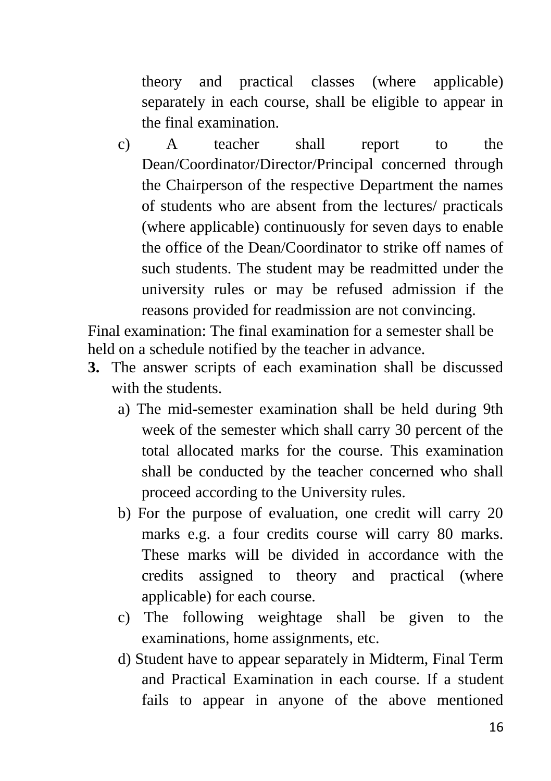theory and practical classes (where applicable) separately in each course, shall be eligible to appear in the final examination.

c) A teacher shall report to the Dean/Coordinator/Director/Principal concerned through the Chairperson of the respective Department the names of students who are absent from the lectures/ practicals (where applicable) continuously for seven days to enable the office of the Dean/Coordinator to strike off names of such students. The student may be readmitted under the university rules or may be refused admission if the reasons provided for readmission are not convincing.

Final examination: The final examination for a semester shall be held on a schedule notified by the teacher in advance.

- **3.** The answer scripts of each examination shall be discussed with the students.
	- a) The mid-semester examination shall be held during 9th week of the semester which shall carry 30 percent of the total allocated marks for the course. This examination shall be conducted by the teacher concerned who shall proceed according to the University rules.
	- b) For the purpose of evaluation, one credit will carry 20 marks e.g. a four credits course will carry 80 marks. These marks will be divided in accordance with the credits assigned to theory and practical (where applicable) for each course.
	- c) The following weightage shall be given to the examinations, home assignments, etc.
	- d) Student have to appear separately in Midterm, Final Term and Practical Examination in each course. If a student fails to appear in anyone of the above mentioned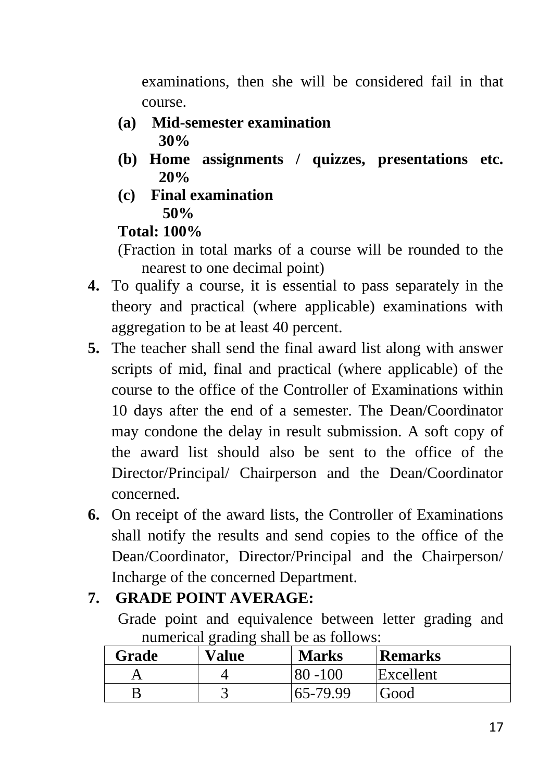examinations, then she will be considered fail in that course.

- **(a) Mid-semester examination 30%**
- **(b) Home assignments / quizzes, presentations etc. 20%**
- **(c) Final examination 50%**

#### **Total: 100%**

(Fraction in total marks of a course will be rounded to the nearest to one decimal point)

- **4.** To qualify a course, it is essential to pass separately in the theory and practical (where applicable) examinations with aggregation to be at least 40 percent.
- **5.** The teacher shall send the final award list along with answer scripts of mid, final and practical (where applicable) of the course to the office of the Controller of Examinations within 10 days after the end of a semester. The Dean/Coordinator may condone the delay in result submission. A soft copy of the award list should also be sent to the office of the Director/Principal/ Chairperson and the Dean/Coordinator concerned.
- **6.** On receipt of the award lists, the Controller of Examinations shall notify the results and send copies to the office of the Dean/Coordinator, Director/Principal and the Chairperson/ Incharge of the concerned Department.

## **7. GRADE POINT AVERAGE:**

Grade point and equivalence between letter grading and numerical grading shall be as follows:

| Grade | Value | <b>Marks</b> | <b>Remarks</b> |
|-------|-------|--------------|----------------|
|       |       | -100         | Excellent      |
|       |       | 165-79.99    | Good           |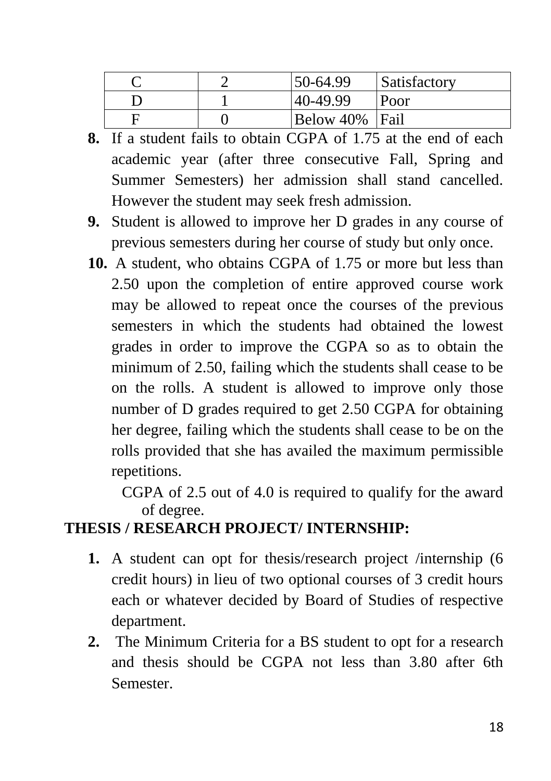|  | 50-64.99       | Satisfactory |
|--|----------------|--------------|
|  | 40-49.99       | Poor         |
|  | Below 40% Fail |              |

- **8.** If a student fails to obtain CGPA of 1.75 at the end of each academic year (after three consecutive Fall, Spring and Summer Semesters) her admission shall stand cancelled. However the student may seek fresh admission.
- **9.** Student is allowed to improve her D grades in any course of previous semesters during her course of study but only once.
- **10.** A student, who obtains CGPA of 1.75 or more but less than 2.50 upon the completion of entire approved course work may be allowed to repeat once the courses of the previous semesters in which the students had obtained the lowest grades in order to improve the CGPA so as to obtain the minimum of 2.50, failing which the students shall cease to be on the rolls. A student is allowed to improve only those number of D grades required to get 2.50 CGPA for obtaining her degree, failing which the students shall cease to be on the rolls provided that she has availed the maximum permissible repetitions.

CGPA of 2.5 out of 4.0 is required to qualify for the award of degree.

## **THESIS / RESEARCH PROJECT/ INTERNSHIP:**

- **1.** A student can opt for thesis/research project /internship (6 credit hours) in lieu of two optional courses of 3 credit hours each or whatever decided by Board of Studies of respective department.
- **2.** The Minimum Criteria for a BS student to opt for a research and thesis should be CGPA not less than 3.80 after 6th Semester.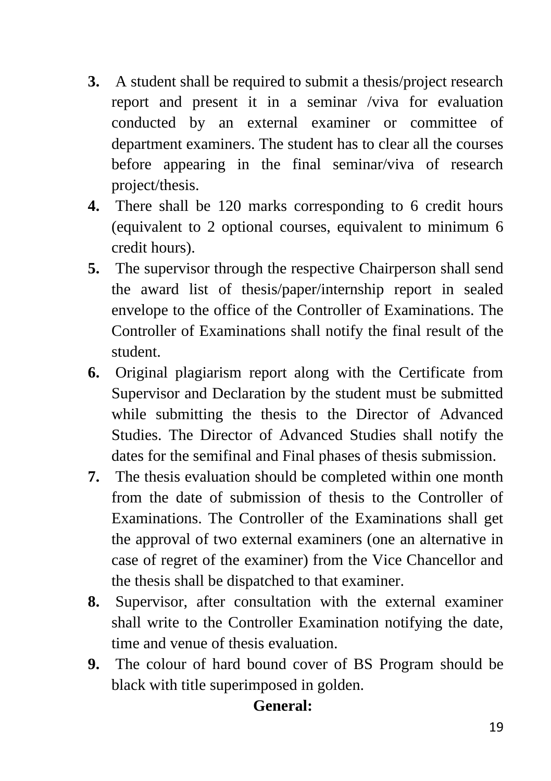- **3.** A student shall be required to submit a thesis/project research report and present it in a seminar /viva for evaluation conducted by an external examiner or committee of department examiners. The student has to clear all the courses before appearing in the final seminar/viva of research project/thesis.
- **4.** There shall be 120 marks corresponding to 6 credit hours (equivalent to 2 optional courses, equivalent to minimum 6 credit hours).
- **5.** The supervisor through the respective Chairperson shall send the award list of thesis/paper/internship report in sealed envelope to the office of the Controller of Examinations. The Controller of Examinations shall notify the final result of the student.
- **6.** Original plagiarism report along with the Certificate from Supervisor and Declaration by the student must be submitted while submitting the thesis to the Director of Advanced Studies. The Director of Advanced Studies shall notify the dates for the semifinal and Final phases of thesis submission.
- **7.** The thesis evaluation should be completed within one month from the date of submission of thesis to the Controller of Examinations. The Controller of the Examinations shall get the approval of two external examiners (one an alternative in case of regret of the examiner) from the Vice Chancellor and the thesis shall be dispatched to that examiner.
- **8.** Supervisor, after consultation with the external examiner shall write to the Controller Examination notifying the date, time and venue of thesis evaluation.
- **9.** The colour of hard bound cover of BS Program should be black with title superimposed in golden.

## **General:**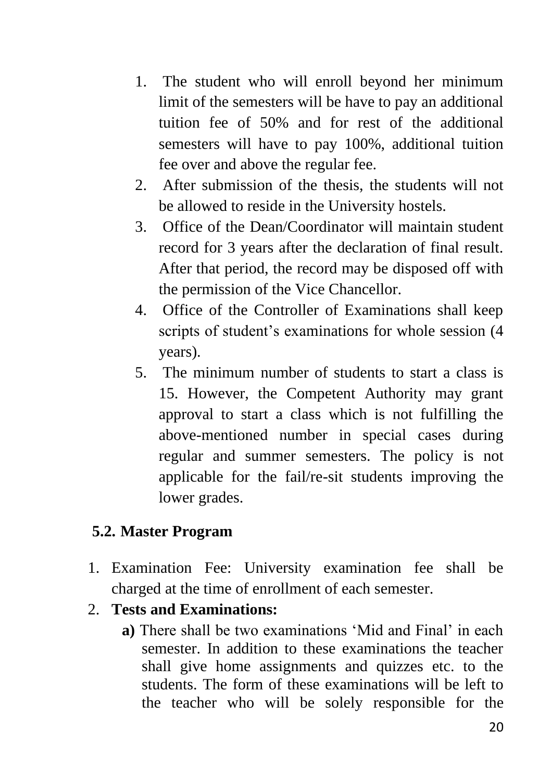- 1. The student who will enroll beyond her minimum limit of the semesters will be have to pay an additional tuition fee of 50% and for rest of the additional semesters will have to pay 100%, additional tuition fee over and above the regular fee.
- 2. After submission of the thesis, the students will not be allowed to reside in the University hostels.
- 3. Office of the Dean/Coordinator will maintain student record for 3 years after the declaration of final result. After that period, the record may be disposed off with the permission of the Vice Chancellor.
- 4. Office of the Controller of Examinations shall keep scripts of student's examinations for whole session (4 years).
- 5. The minimum number of students to start a class is 15. However, the Competent Authority may grant approval to start a class which is not fulfilling the above-mentioned number in special cases during regular and summer semesters. The policy is not applicable for the fail/re-sit students improving the lower grades.

### <span id="page-19-0"></span>**5.2. Master Program**

1. Examination Fee: University examination fee shall be charged at the time of enrollment of each semester.

### 2. **Tests and Examinations:**

**a)** There shall be two examinations 'Mid and Final' in each semester. In addition to these examinations the teacher shall give home assignments and quizzes etc. to the students. The form of these examinations will be left to the teacher who will be solely responsible for the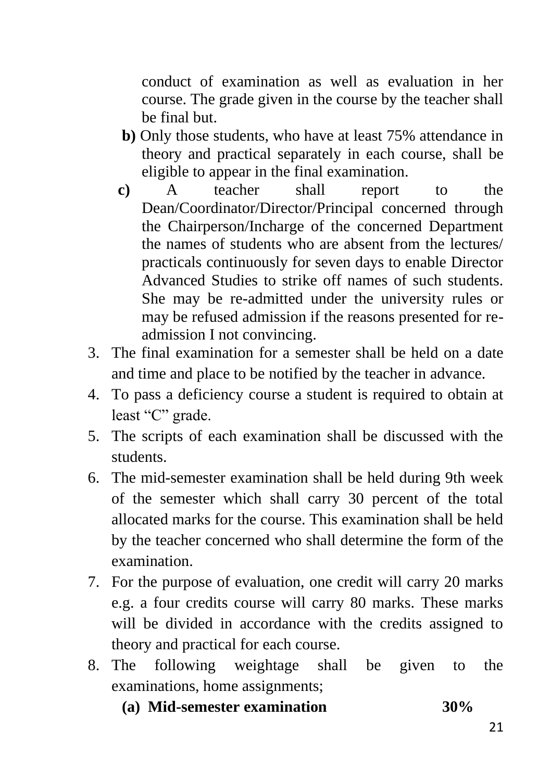conduct of examination as well as evaluation in her course. The grade given in the course by the teacher shall be final but.

- **b)** Only those students, who have at least 75% attendance in theory and practical separately in each course, shall be eligible to appear in the final examination.
- **c)** A teacher shall report to the Dean/Coordinator/Director/Principal concerned through the Chairperson/Incharge of the concerned Department the names of students who are absent from the lectures/ practicals continuously for seven days to enable Director Advanced Studies to strike off names of such students. She may be re-admitted under the university rules or may be refused admission if the reasons presented for readmission I not convincing.
- 3. The final examination for a semester shall be held on a date and time and place to be notified by the teacher in advance.
- 4. To pass a deficiency course a student is required to obtain at least "C" grade.
- 5. The scripts of each examination shall be discussed with the students.
- 6. The mid-semester examination shall be held during 9th week of the semester which shall carry 30 percent of the total allocated marks for the course. This examination shall be held by the teacher concerned who shall determine the form of the examination.
- 7. For the purpose of evaluation, one credit will carry 20 marks e.g. a four credits course will carry 80 marks. These marks will be divided in accordance with the credits assigned to theory and practical for each course.
- 8. The following weightage shall be given to the examinations, home assignments;
	- **(a) Mid-semester examination 30%**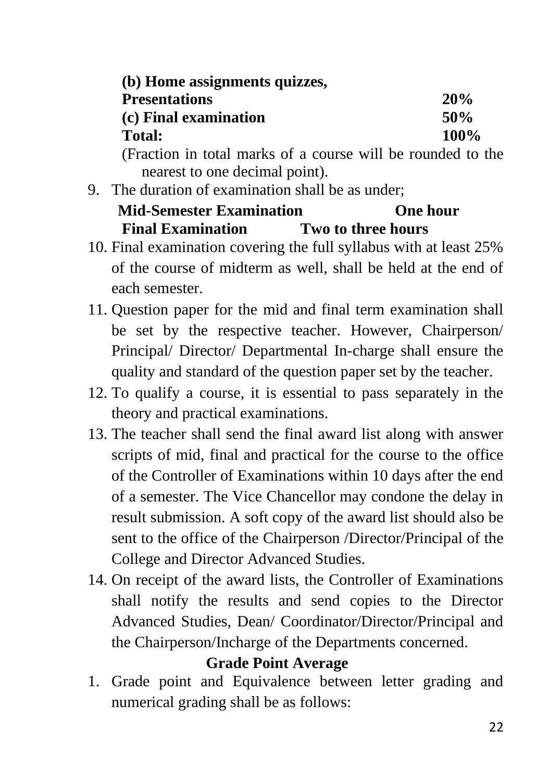| (b) Home assignments quizzes,                               |      |  |
|-------------------------------------------------------------|------|--|
| <b>Presentations</b>                                        | 20%  |  |
| (c) Final examination                                       | 50%  |  |
| <b>Total:</b>                                               | 100% |  |
| (Fraction in total marks of a course will be rounded to the |      |  |
| nearest to one decimal point).                              |      |  |

9. The duration of examination shall be as under;

## **Mid-Semester Examination Charles One hour Final Examination Two to three hours**

- 10. Final examination covering the full syllabus with at least 25% of the course of midterm as well, shall be held at the end of each semester.
- 11. Question paper for the mid and final term examination shall be set by the respective teacher. However, Chairperson/ Principal/ Director/ Departmental In-charge shall ensure the quality and standard of the question paper set by the teacher.
- 12. To qualify a course, it is essential to pass separately in the theory and practical examinations.
- 13. The teacher shall send the final award list along with answer scripts of mid, final and practical for the course to the office of the Controller of Examinations within 10 days after the end of a semester. The Vice Chancellor may condone the delay in result submission. A soft copy of the award list should also be sent to the office of the Chairperson /Director/Principal of the College and Director Advanced Studies.
- 14. On receipt of the award lists, the Controller of Examinations shall notify the results and send copies to the Director Advanced Studies, Dean/ Coordinator/Director/Principal and the Chairperson/Incharge of the Departments concerned.

## **Grade Point Average**

1. Grade point and Equivalence between letter grading and numerical grading shall be as follows: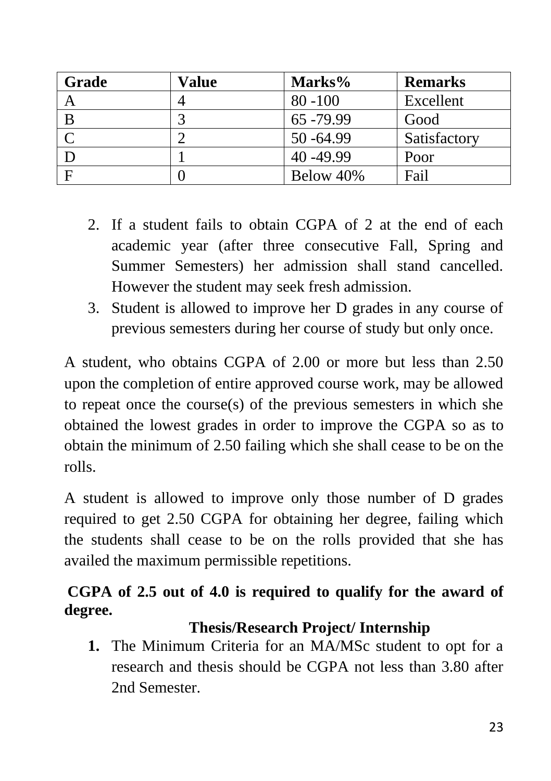| Grade | Value | Marks%       | <b>Remarks</b> |
|-------|-------|--------------|----------------|
| A     |       | $80 - 100$   | Excellent      |
| B     |       | 65 - 79.99   | Good           |
|       |       | $50 - 64.99$ | Satisfactory   |
|       |       | 40-49.99     | Poor           |
|       |       | Below 40%    | Fail           |

- 2. If a student fails to obtain CGPA of 2 at the end of each academic year (after three consecutive Fall, Spring and Summer Semesters) her admission shall stand cancelled. However the student may seek fresh admission.
- 3. Student is allowed to improve her D grades in any course of previous semesters during her course of study but only once.

A student, who obtains CGPA of 2.00 or more but less than 2.50 upon the completion of entire approved course work, may be allowed to repeat once the course(s) of the previous semesters in which she obtained the lowest grades in order to improve the CGPA so as to obtain the minimum of 2.50 failing which she shall cease to be on the rolls.

A student is allowed to improve only those number of D grades required to get 2.50 CGPA for obtaining her degree, failing which the students shall cease to be on the rolls provided that she has availed the maximum permissible repetitions.

## **CGPA of 2.5 out of 4.0 is required to qualify for the award of degree.**

## **Thesis/Research Project/ Internship**

**1.** The Minimum Criteria for an MA/MSc student to opt for a research and thesis should be CGPA not less than 3.80 after 2nd Semester.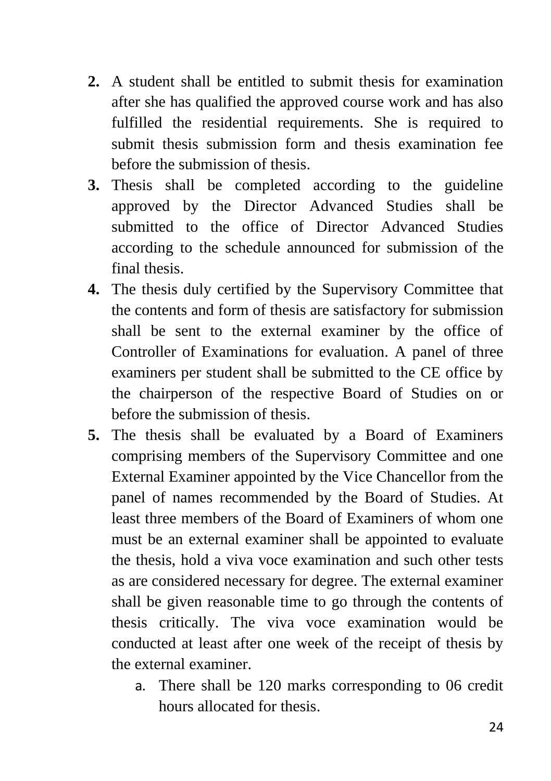- **2.** A student shall be entitled to submit thesis for examination after she has qualified the approved course work and has also fulfilled the residential requirements. She is required to submit thesis submission form and thesis examination fee before the submission of thesis.
- **3.** Thesis shall be completed according to the guideline approved by the Director Advanced Studies shall be submitted to the office of Director Advanced Studies according to the schedule announced for submission of the final thesis.
- **4.** The thesis duly certified by the Supervisory Committee that the contents and form of thesis are satisfactory for submission shall be sent to the external examiner by the office of Controller of Examinations for evaluation. A panel of three examiners per student shall be submitted to the CE office by the chairperson of the respective Board of Studies on or before the submission of thesis.
- **5.** The thesis shall be evaluated by a Board of Examiners comprising members of the Supervisory Committee and one External Examiner appointed by the Vice Chancellor from the panel of names recommended by the Board of Studies. At least three members of the Board of Examiners of whom one must be an external examiner shall be appointed to evaluate the thesis, hold a viva voce examination and such other tests as are considered necessary for degree. The external examiner shall be given reasonable time to go through the contents of thesis critically. The viva voce examination would be conducted at least after one week of the receipt of thesis by the external examiner.
	- a. There shall be 120 marks corresponding to 06 credit hours allocated for thesis.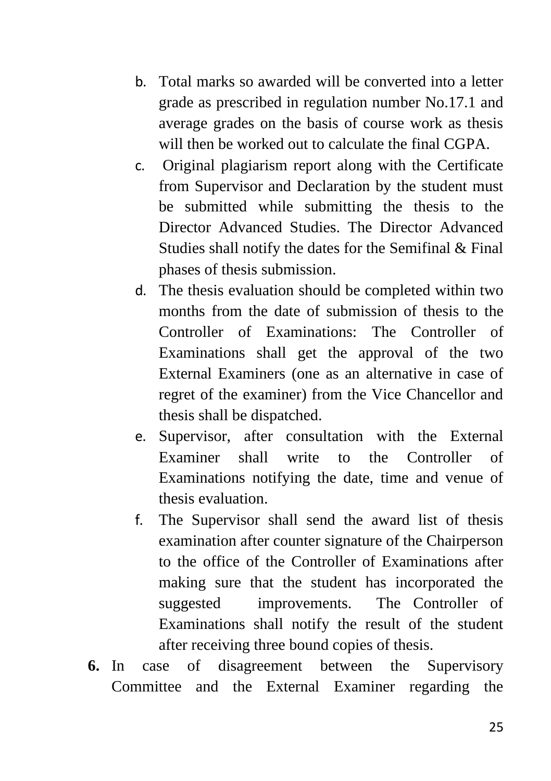- b. Total marks so awarded will be converted into a letter grade as prescribed in regulation number No.17.1 and average grades on the basis of course work as thesis will then be worked out to calculate the final CGPA.
- c. Original plagiarism report along with the Certificate from Supervisor and Declaration by the student must be submitted while submitting the thesis to the Director Advanced Studies. The Director Advanced Studies shall notify the dates for the Semifinal & Final phases of thesis submission.
- d. The thesis evaluation should be completed within two months from the date of submission of thesis to the Controller of Examinations: The Controller of Examinations shall get the approval of the two External Examiners (one as an alternative in case of regret of the examiner) from the Vice Chancellor and thesis shall be dispatched.
- e. Supervisor, after consultation with the External Examiner shall write to the Controller of Examinations notifying the date, time and venue of thesis evaluation.
- f. The Supervisor shall send the award list of thesis examination after counter signature of the Chairperson to the office of the Controller of Examinations after making sure that the student has incorporated the suggested improvements. The Controller of Examinations shall notify the result of the student after receiving three bound copies of thesis.
- **6.** In case of disagreement between the Supervisory Committee and the External Examiner regarding the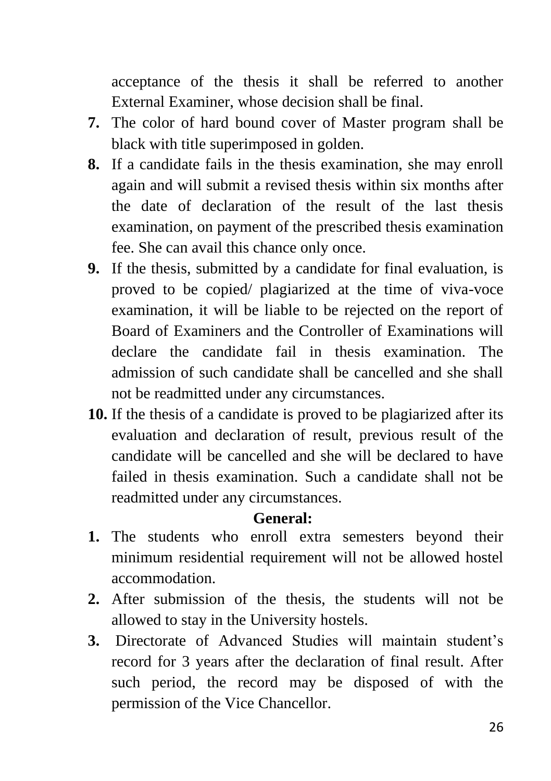acceptance of the thesis it shall be referred to another External Examiner, whose decision shall be final.

- **7.** The color of hard bound cover of Master program shall be black with title superimposed in golden.
- **8.** If a candidate fails in the thesis examination, she may enroll again and will submit a revised thesis within six months after the date of declaration of the result of the last thesis examination, on payment of the prescribed thesis examination fee. She can avail this chance only once.
- **9.** If the thesis, submitted by a candidate for final evaluation, is proved to be copied/ plagiarized at the time of viva-voce examination, it will be liable to be rejected on the report of Board of Examiners and the Controller of Examinations will declare the candidate fail in thesis examination. The admission of such candidate shall be cancelled and she shall not be readmitted under any circumstances.
- **10.** If the thesis of a candidate is proved to be plagiarized after its evaluation and declaration of result, previous result of the candidate will be cancelled and she will be declared to have failed in thesis examination. Such a candidate shall not be readmitted under any circumstances.

### **General:**

- **1.** The students who enroll extra semesters beyond their minimum residential requirement will not be allowed hostel accommodation.
- **2.** After submission of the thesis, the students will not be allowed to stay in the University hostels.
- **3.** Directorate of Advanced Studies will maintain student's record for 3 years after the declaration of final result. After such period, the record may be disposed of with the permission of the Vice Chancellor.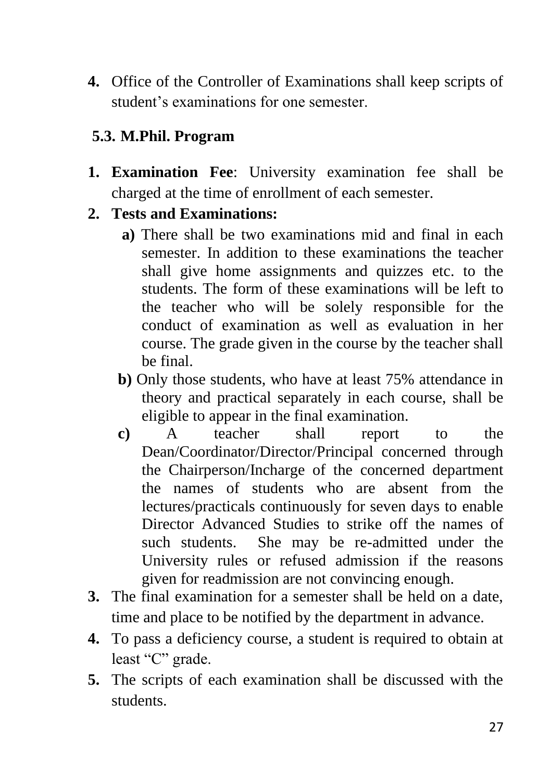**4.** Office of the Controller of Examinations shall keep scripts of student's examinations for one semester.

## <span id="page-26-0"></span>**5.3. M.Phil. Program**

**1. Examination Fee**: University examination fee shall be charged at the time of enrollment of each semester.

## **2. Tests and Examinations:**

- **a)** There shall be two examinations mid and final in each semester. In addition to these examinations the teacher shall give home assignments and quizzes etc. to the students. The form of these examinations will be left to the teacher who will be solely responsible for the conduct of examination as well as evaluation in her course. The grade given in the course by the teacher shall be final.
- **b)** Only those students, who have at least 75% attendance in theory and practical separately in each course, shall be eligible to appear in the final examination.
- **c)** A teacher shall report to the Dean/Coordinator/Director/Principal concerned through the Chairperson/Incharge of the concerned department the names of students who are absent from the lectures/practicals continuously for seven days to enable Director Advanced Studies to strike off the names of such students. She may be re-admitted under the University rules or refused admission if the reasons given for readmission are not convincing enough.
- **3.** The final examination for a semester shall be held on a date, time and place to be notified by the department in advance.
- **4.** To pass a deficiency course, a student is required to obtain at least "C" grade.
- **5.** The scripts of each examination shall be discussed with the students.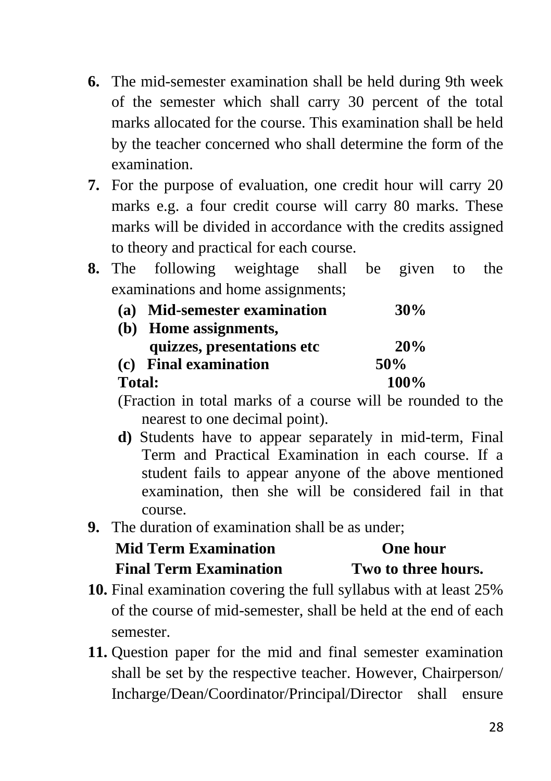- **6.** The mid-semester examination shall be held during 9th week of the semester which shall carry 30 percent of the total marks allocated for the course. This examination shall be held by the teacher concerned who shall determine the form of the examination.
- **7.** For the purpose of evaluation, one credit hour will carry 20 marks e.g. a four credit course will carry 80 marks. These marks will be divided in accordance with the credits assigned to theory and practical for each course.
- **8.** The following weightage shall be given to the examinations and home assignments;

|               | (a) Mid-semester examination | 30%         |
|---------------|------------------------------|-------------|
|               | (b) Home assignments,        |             |
|               | quizzes, presentations etc   | 20%         |
|               | (c) Final examination        | 50\%        |
| <b>Total:</b> |                              | <b>100%</b> |

(Fraction in total marks of a course will be rounded to the nearest to one decimal point).

- **d)** Students have to appear separately in mid-term, Final Term and Practical Examination in each course. If a student fails to appear anyone of the above mentioned examination, then she will be considered fail in that course.
- **9.** The duration of examination shall be as under;

## **Mid Term Examination Cone hour Final Term Examination Two to three hours.**

- **10.** Final examination covering the full syllabus with at least 25% of the course of mid-semester, shall be held at the end of each semester.
- **11.** Question paper for the mid and final semester examination shall be set by the respective teacher. However, Chairperson/ Incharge/Dean/Coordinator/Principal/Director shall ensure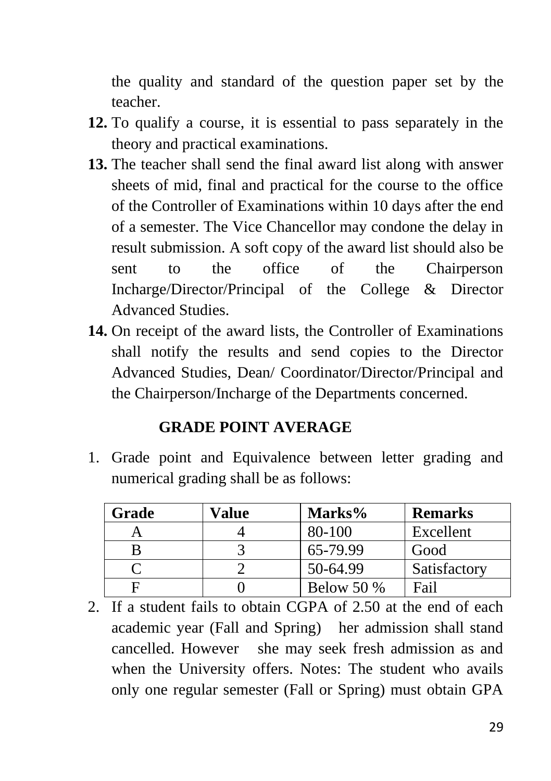the quality and standard of the question paper set by the teacher.

- **12.** To qualify a course, it is essential to pass separately in the theory and practical examinations.
- **13.** The teacher shall send the final award list along with answer sheets of mid, final and practical for the course to the office of the Controller of Examinations within 10 days after the end of a semester. The Vice Chancellor may condone the delay in result submission. A soft copy of the award list should also be sent to the office of the Chairperson Incharge/Director/Principal of the College & Director Advanced Studies.
- **14.** On receipt of the award lists, the Controller of Examinations shall notify the results and send copies to the Director Advanced Studies, Dean/ Coordinator/Director/Principal and the Chairperson/Incharge of the Departments concerned.

### **GRADE POINT AVERAGE**

1. Grade point and Equivalence between letter grading and numerical grading shall be as follows:

| Grade | Value | Marks%       | <b>Remarks</b> |
|-------|-------|--------------|----------------|
|       |       | 80-100       | Excellent      |
|       |       | 65-79.99     | Good           |
|       |       | 50-64.99     | Satisfactory   |
|       |       | Below 50 $%$ | Fail           |

2. If a student fails to obtain CGPA of 2.50 at the end of each academic year (Fall and Spring) her admission shall stand cancelled. However she may seek fresh admission as and when the University offers. Notes: The student who avails only one regular semester (Fall or Spring) must obtain GPA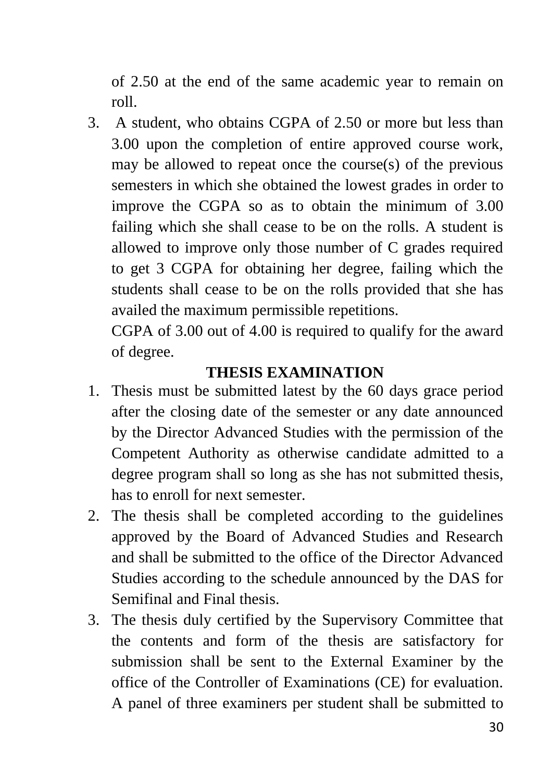of 2.50 at the end of the same academic year to remain on roll.

3. A student, who obtains CGPA of 2.50 or more but less than 3.00 upon the completion of entire approved course work, may be allowed to repeat once the course(s) of the previous semesters in which she obtained the lowest grades in order to improve the CGPA so as to obtain the minimum of 3.00 failing which she shall cease to be on the rolls. A student is allowed to improve only those number of C grades required to get 3 CGPA for obtaining her degree, failing which the students shall cease to be on the rolls provided that she has availed the maximum permissible repetitions.

CGPA of 3.00 out of 4.00 is required to qualify for the award of degree.

### **THESIS EXAMINATION**

- 1. Thesis must be submitted latest by the 60 days grace period after the closing date of the semester or any date announced by the Director Advanced Studies with the permission of the Competent Authority as otherwise candidate admitted to a degree program shall so long as she has not submitted thesis, has to enroll for next semester.
- 2. The thesis shall be completed according to the guidelines approved by the Board of Advanced Studies and Research and shall be submitted to the office of the Director Advanced Studies according to the schedule announced by the DAS for Semifinal and Final thesis.
- 3. The thesis duly certified by the Supervisory Committee that the contents and form of the thesis are satisfactory for submission shall be sent to the External Examiner by the office of the Controller of Examinations (CE) for evaluation. A panel of three examiners per student shall be submitted to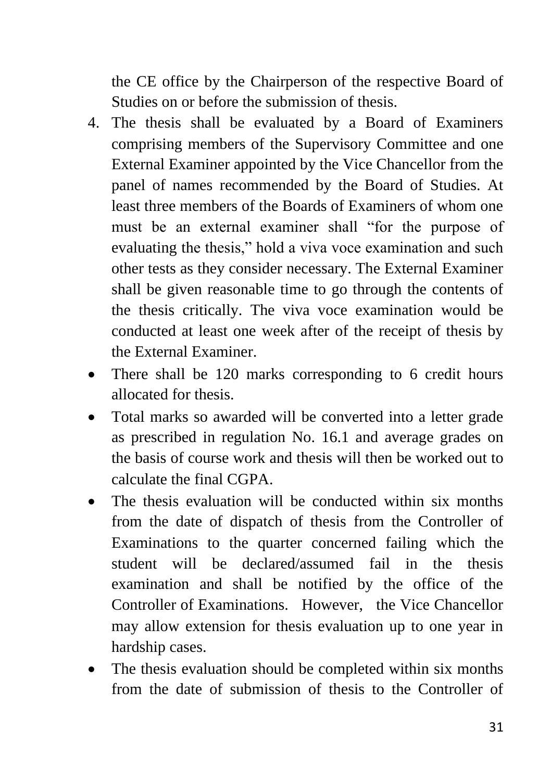the CE office by the Chairperson of the respective Board of Studies on or before the submission of thesis.

- 4. The thesis shall be evaluated by a Board of Examiners comprising members of the Supervisory Committee and one External Examiner appointed by the Vice Chancellor from the panel of names recommended by the Board of Studies. At least three members of the Boards of Examiners of whom one must be an external examiner shall "for the purpose of evaluating the thesis," hold a viva voce examination and such other tests as they consider necessary. The External Examiner shall be given reasonable time to go through the contents of the thesis critically. The viva voce examination would be conducted at least one week after of the receipt of thesis by the External Examiner.
- There shall be 120 marks corresponding to 6 credit hours allocated for thesis.
- Total marks so awarded will be converted into a letter grade as prescribed in regulation No. 16.1 and average grades on the basis of course work and thesis will then be worked out to calculate the final CGPA.
- The thesis evaluation will be conducted within six months from the date of dispatch of thesis from the Controller of Examinations to the quarter concerned failing which the student will be declared/assumed fail in the thesis examination and shall be notified by the office of the Controller of Examinations. However, the Vice Chancellor may allow extension for thesis evaluation up to one year in hardship cases.
- The thesis evaluation should be completed within six months from the date of submission of thesis to the Controller of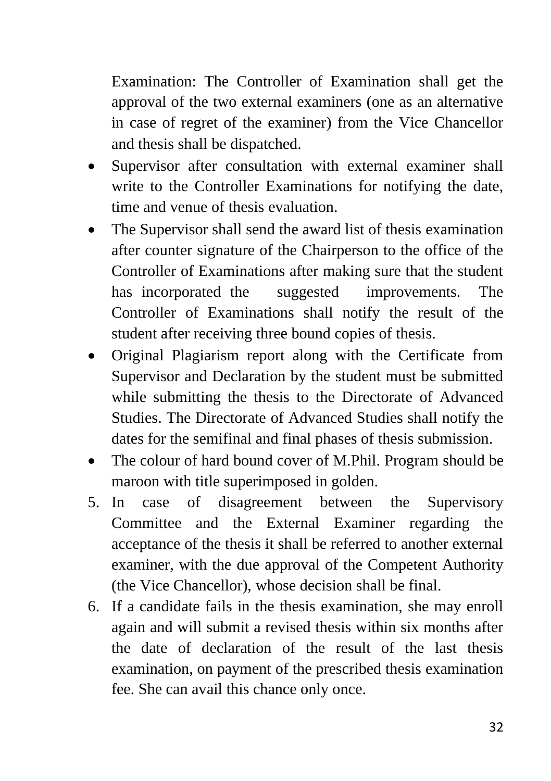Examination: The Controller of Examination shall get the approval of the two external examiners (one as an alternative in case of regret of the examiner) from the Vice Chancellor and thesis shall be dispatched.

- Supervisor after consultation with external examiner shall write to the Controller Examinations for notifying the date, time and venue of thesis evaluation.
- The Supervisor shall send the award list of thesis examination after counter signature of the Chairperson to the office of the Controller of Examinations after making sure that the student has incorporated the suggested improvements. The Controller of Examinations shall notify the result of the student after receiving three bound copies of thesis.
- Original Plagiarism report along with the Certificate from Supervisor and Declaration by the student must be submitted while submitting the thesis to the Directorate of Advanced Studies. The Directorate of Advanced Studies shall notify the dates for the semifinal and final phases of thesis submission.
- The colour of hard bound cover of M.Phil. Program should be maroon with title superimposed in golden.
- 5. In case of disagreement between the Supervisory Committee and the External Examiner regarding the acceptance of the thesis it shall be referred to another external examiner, with the due approval of the Competent Authority (the Vice Chancellor), whose decision shall be final.
- 6. If a candidate fails in the thesis examination, she may enroll again and will submit a revised thesis within six months after the date of declaration of the result of the last thesis examination, on payment of the prescribed thesis examination fee. She can avail this chance only once.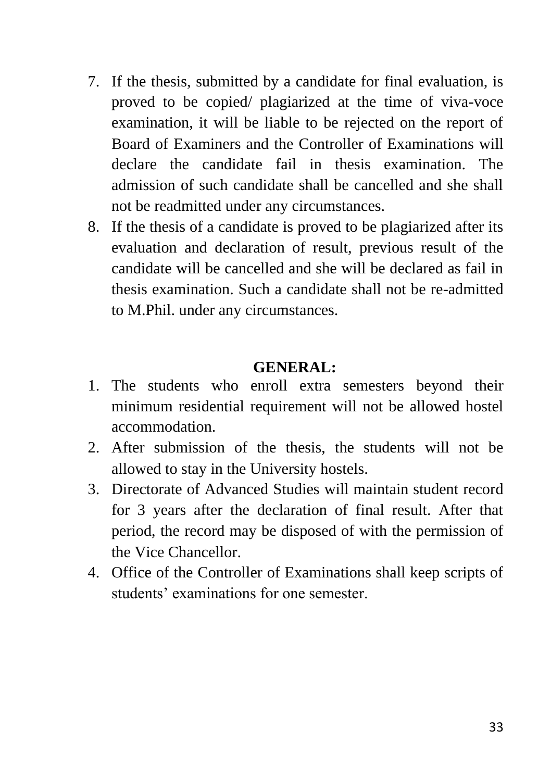- 7. If the thesis, submitted by a candidate for final evaluation, is proved to be copied/ plagiarized at the time of viva-voce examination, it will be liable to be rejected on the report of Board of Examiners and the Controller of Examinations will declare the candidate fail in thesis examination. The admission of such candidate shall be cancelled and she shall not be readmitted under any circumstances.
- 8. If the thesis of a candidate is proved to be plagiarized after its evaluation and declaration of result, previous result of the candidate will be cancelled and she will be declared as fail in thesis examination. Such a candidate shall not be re-admitted to M.Phil. under any circumstances.

#### **GENERAL:**

- 1. The students who enroll extra semesters beyond their minimum residential requirement will not be allowed hostel accommodation.
- 2. After submission of the thesis, the students will not be allowed to stay in the University hostels.
- 3. Directorate of Advanced Studies will maintain student record for 3 years after the declaration of final result. After that period, the record may be disposed of with the permission of the Vice Chancellor.
- 4. Office of the Controller of Examinations shall keep scripts of students' examinations for one semester.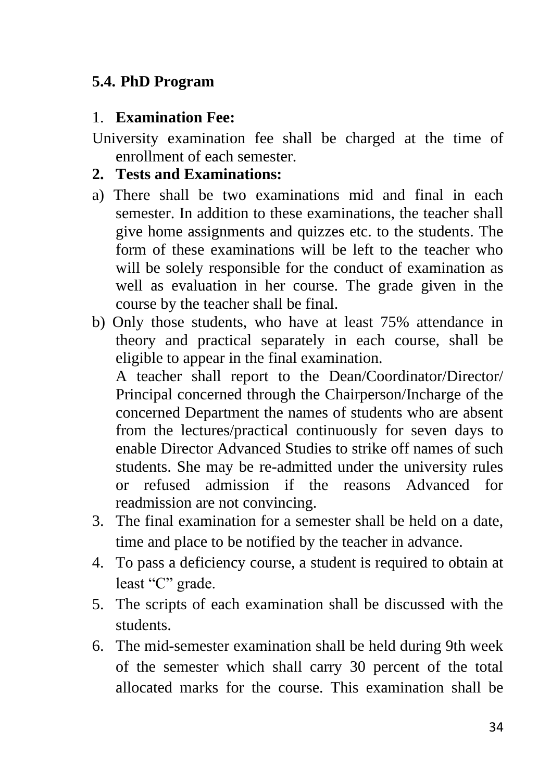### <span id="page-33-0"></span>**5.4. PhD Program**

#### 1. **Examination Fee:**

University examination fee shall be charged at the time of enrollment of each semester.

#### **2. Tests and Examinations:**

- a) There shall be two examinations mid and final in each semester. In addition to these examinations, the teacher shall give home assignments and quizzes etc. to the students. The form of these examinations will be left to the teacher who will be solely responsible for the conduct of examination as well as evaluation in her course. The grade given in the course by the teacher shall be final.
- b) Only those students, who have at least 75% attendance in theory and practical separately in each course, shall be eligible to appear in the final examination. A teacher shall report to the Dean/Coordinator/Director/ Principal concerned through the Chairperson/Incharge of the concerned Department the names of students who are absent from the lectures/practical continuously for seven days to enable Director Advanced Studies to strike off names of such
	- students. She may be re-admitted under the university rules or refused admission if the reasons Advanced for readmission are not convincing.
- 3. The final examination for a semester shall be held on a date, time and place to be notified by the teacher in advance.
- 4. To pass a deficiency course, a student is required to obtain at least "C" grade.
- 5. The scripts of each examination shall be discussed with the students.
- 6. The mid-semester examination shall be held during 9th week of the semester which shall carry 30 percent of the total allocated marks for the course. This examination shall be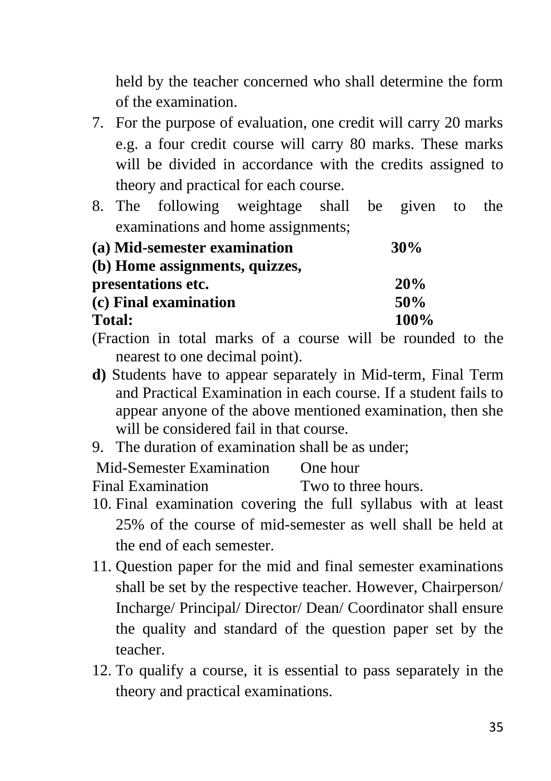held by the teacher concerned who shall determine the form of the examination.

- 7. For the purpose of evaluation, one credit will carry 20 marks e.g. a four credit course will carry 80 marks. These marks will be divided in accordance with the credits assigned to theory and practical for each course.
- 8. The following weightage shall be given to the examinations and home assignments;

| (a) Mid-semester examination   | 30%  |
|--------------------------------|------|
| (b) Home assignments, quizzes, |      |
| presentations etc.             | 20%  |
| (c) Final examination          | 50%  |
| <b>Total:</b>                  | 100% |

- (Fraction in total marks of a course will be rounded to the nearest to one decimal point).
- **d)** Students have to appear separately in Mid-term, Final Term and Practical Examination in each course. If a student fails to appear anyone of the above mentioned examination, then she will be considered fail in that course.
- 9. The duration of examination shall be as under;

Mid-Semester Examination One hour

Final Examination Two to three hours.

- 10. Final examination covering the full syllabus with at least 25% of the course of mid-semester as well shall be held at the end of each semester.
- 11. Question paper for the mid and final semester examinations shall be set by the respective teacher. However, Chairperson/ Incharge/ Principal/ Director/ Dean/ Coordinator shall ensure the quality and standard of the question paper set by the teacher.
- 12. To qualify a course, it is essential to pass separately in the theory and practical examinations.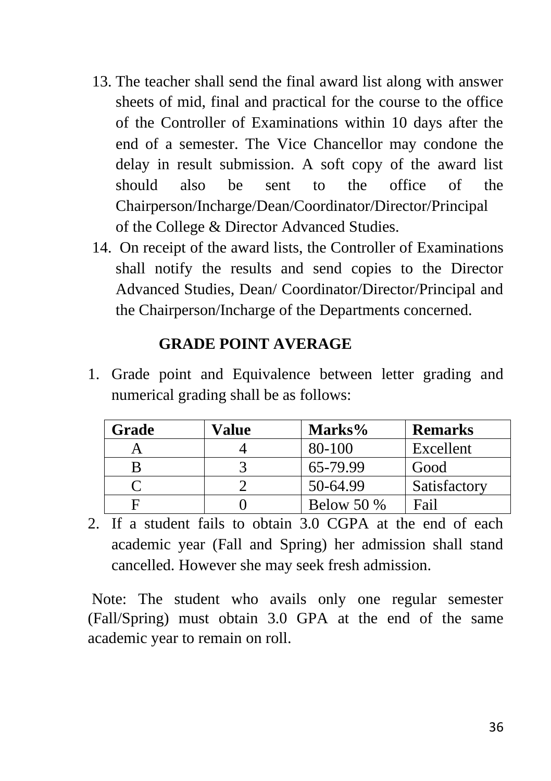- 13. The teacher shall send the final award list along with answer sheets of mid, final and practical for the course to the office of the Controller of Examinations within 10 days after the end of a semester. The Vice Chancellor may condone the delay in result submission. A soft copy of the award list should also be sent to the office of the Chairperson/Incharge/Dean/Coordinator/Director/Principal of the College & Director Advanced Studies.
- 14. On receipt of the award lists, the Controller of Examinations shall notify the results and send copies to the Director Advanced Studies, Dean/ Coordinator/Director/Principal and the Chairperson/Incharge of the Departments concerned.

#### **GRADE POINT AVERAGE**

1. Grade point and Equivalence between letter grading and numerical grading shall be as follows:

| Grade | Value | Marks%     | <b>Remarks</b> |
|-------|-------|------------|----------------|
|       |       | 80-100     | Excellent      |
|       |       | 65-79.99   | Good           |
|       |       | 50-64.99   | Satisfactory   |
|       |       | Below 50 % | Fail           |

2. If a student fails to obtain 3.0 CGPA at the end of each academic year (Fall and Spring) her admission shall stand cancelled. However she may seek fresh admission.

Note: The student who avails only one regular semester (Fall/Spring) must obtain 3.0 GPA at the end of the same academic year to remain on roll.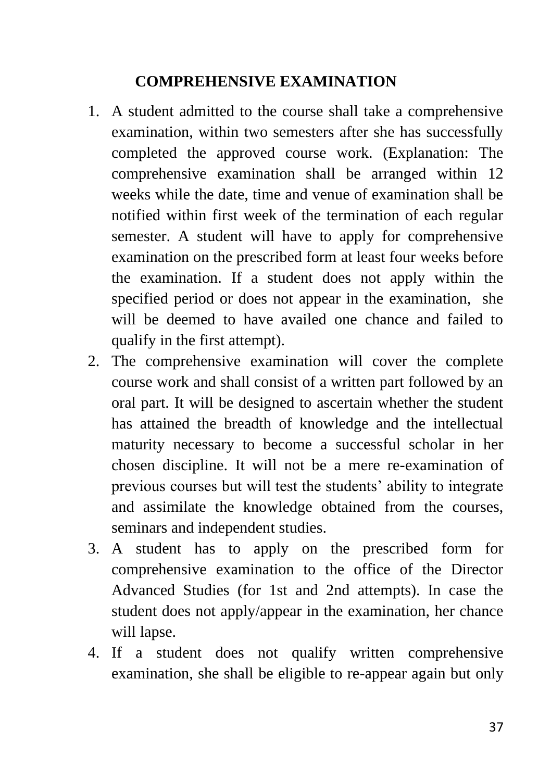### **COMPREHENSIVE EXAMINATION**

- 1. A student admitted to the course shall take a comprehensive examination, within two semesters after she has successfully completed the approved course work. (Explanation: The comprehensive examination shall be arranged within 12 weeks while the date, time and venue of examination shall be notified within first week of the termination of each regular semester. A student will have to apply for comprehensive examination on the prescribed form at least four weeks before the examination. If a student does not apply within the specified period or does not appear in the examination, she will be deemed to have availed one chance and failed to qualify in the first attempt).
- 2. The comprehensive examination will cover the complete course work and shall consist of a written part followed by an oral part. It will be designed to ascertain whether the student has attained the breadth of knowledge and the intellectual maturity necessary to become a successful scholar in her chosen discipline. It will not be a mere re-examination of previous courses but will test the students' ability to integrate and assimilate the knowledge obtained from the courses, seminars and independent studies.
- 3. A student has to apply on the prescribed form for comprehensive examination to the office of the Director Advanced Studies (for 1st and 2nd attempts). In case the student does not apply/appear in the examination, her chance will lapse.
- 4. If a student does not qualify written comprehensive examination, she shall be eligible to re-appear again but only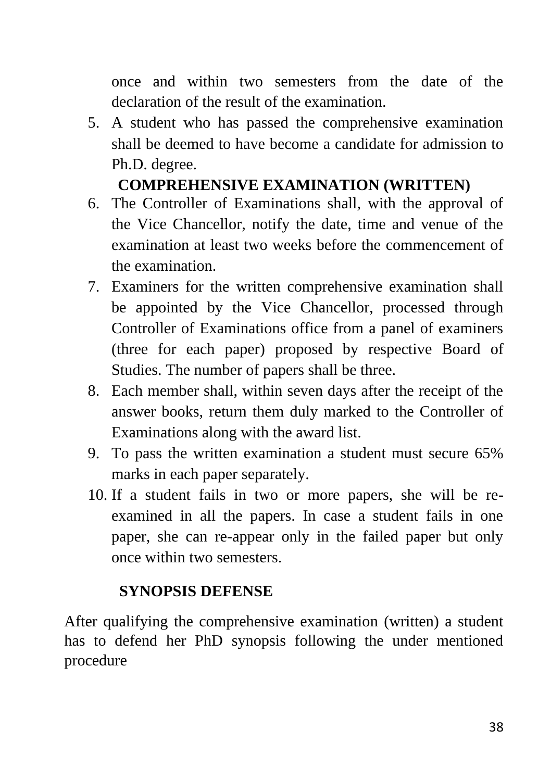once and within two semesters from the date of the declaration of the result of the examination.

5. A student who has passed the comprehensive examination shall be deemed to have become a candidate for admission to Ph.D. degree.

## **COMPREHENSIVE EXAMINATION (WRITTEN)**

- 6. The Controller of Examinations shall, with the approval of the Vice Chancellor, notify the date, time and venue of the examination at least two weeks before the commencement of the examination.
- 7. Examiners for the written comprehensive examination shall be appointed by the Vice Chancellor, processed through Controller of Examinations office from a panel of examiners (three for each paper) proposed by respective Board of Studies. The number of papers shall be three.
- 8. Each member shall, within seven days after the receipt of the answer books, return them duly marked to the Controller of Examinations along with the award list.
- 9. To pass the written examination a student must secure 65% marks in each paper separately.
- 10. If a student fails in two or more papers, she will be reexamined in all the papers. In case a student fails in one paper, she can re-appear only in the failed paper but only once within two semesters.

## **SYNOPSIS DEFENSE**

After qualifying the comprehensive examination (written) a student has to defend her PhD synopsis following the under mentioned procedure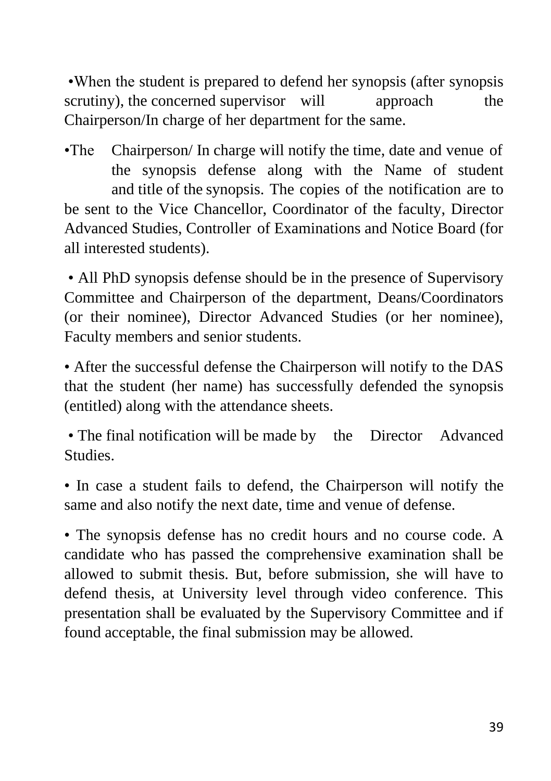•When the student is prepared to defend her synopsis (after synopsis scrutiny), the concerned supervisor will approach the Chairperson/In charge of her department for the same.

•The Chairperson/ In charge will notify the time, date and venue of the synopsis defense along with the Name of student and title of the synopsis. The copies of the notification are to be sent to the Vice Chancellor, Coordinator of the faculty, Director Advanced Studies, Controller of Examinations and Notice Board (for all interested students).

• All PhD synopsis defense should be in the presence of Supervisory Committee and Chairperson of the department, Deans/Coordinators (or their nominee), Director Advanced Studies (or her nominee), Faculty members and senior students.

• After the successful defense the Chairperson will notify to the DAS that the student (her name) has successfully defended the synopsis (entitled) along with the attendance sheets.

• The final notification will be made by the Director Advanced Studies.

• In case a student fails to defend, the Chairperson will notify the same and also notify the next date, time and venue of defense.

• The synopsis defense has no credit hours and no course code. A candidate who has passed the comprehensive examination shall be allowed to submit thesis. But, before submission, she will have to defend thesis, at University level through video conference. This presentation shall be evaluated by the Supervisory Committee and if found acceptable, the final submission may be allowed.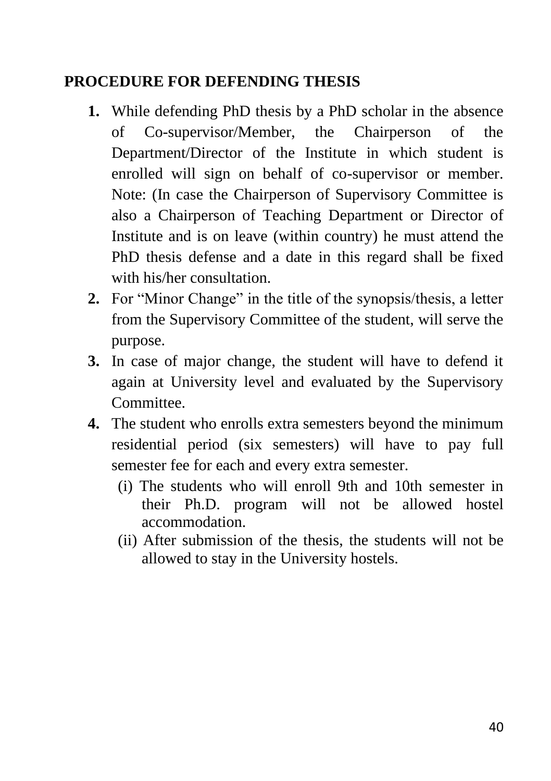## **PROCEDURE FOR DEFENDING THESIS**

- **1.** While defending PhD thesis by a PhD scholar in the absence of Co-supervisor/Member, the Chairperson of the Department/Director of the Institute in which student is enrolled will sign on behalf of co-supervisor or member. Note: (In case the Chairperson of Supervisory Committee is also a Chairperson of Teaching Department or Director of Institute and is on leave (within country) he must attend the PhD thesis defense and a date in this regard shall be fixed with his/her consultation.
- **2.** For "Minor Change" in the title of the synopsis/thesis, a letter from the Supervisory Committee of the student, will serve the purpose.
- **3.** In case of major change, the student will have to defend it again at University level and evaluated by the Supervisory Committee.
- **4.** The student who enrolls extra semesters beyond the minimum residential period (six semesters) will have to pay full semester fee for each and every extra semester.
	- (i) The students who will enroll 9th and 10th semester in their Ph.D. program will not be allowed hostel accommodation.
	- (ii) After submission of the thesis, the students will not be allowed to stay in the University hostels.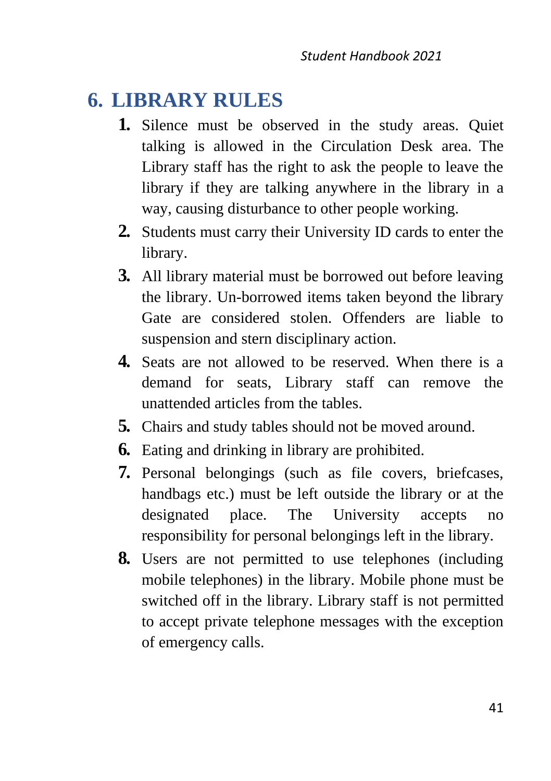## <span id="page-40-0"></span>**6. LIBRARY RULES**

- **1.** Silence must be observed in the study areas. Quiet talking is allowed in the Circulation Desk area. The Library staff has the right to ask the people to leave the library if they are talking anywhere in the library in a way, causing disturbance to other people working.
- **2.** Students must carry their University ID cards to enter the library.
- **3.** All library material must be borrowed out before leaving the library. Un-borrowed items taken beyond the library Gate are considered stolen. Offenders are liable to suspension and stern disciplinary action.
- **4.** Seats are not allowed to be reserved. When there is a demand for seats, Library staff can remove the unattended articles from the tables.
- **5.** Chairs and study tables should not be moved around.
- **6.** Eating and drinking in library are prohibited.
- **7.** Personal belongings (such as file covers, briefcases, handbags etc.) must be left outside the library or at the designated place. The University accepts no responsibility for personal belongings left in the library.
- **8.** Users are not permitted to use telephones (including mobile telephones) in the library. Mobile phone must be switched off in the library. Library staff is not permitted to accept private telephone messages with the exception of emergency calls.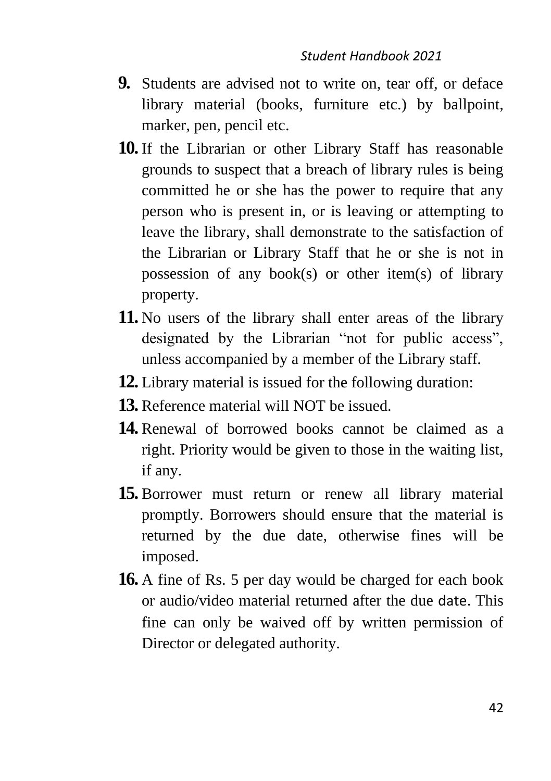- **9.** Students are advised not to write on, tear off, or deface library material (books, furniture etc.) by ballpoint, marker, pen, pencil etc.
- **10.** If the Librarian or other Library Staff has reasonable grounds to suspect that a breach of library rules is being committed he or she has the power to require that any person who is present in, or is leaving or attempting to leave the library, shall demonstrate to the satisfaction of the Librarian or Library Staff that he or she is not in possession of any book(s) or other item(s) of library property.
- **11.** No users of the library shall enter areas of the library designated by the Librarian "not for public access", unless accompanied by a member of the Library staff.
- **12.** Library material is issued for the following duration:
- **13.** Reference material will NOT be issued.
- **14.** Renewal of borrowed books cannot be claimed as a right. Priority would be given to those in the waiting list, if any.
- **15.** Borrower must return or renew all library material promptly. Borrowers should ensure that the material is returned by the due date, otherwise fines will be imposed.
- **16.** A fine of Rs. 5 per day would be charged for each book or audio/video material returned after the due date. This fine can only be waived off by written permission of Director or delegated authority.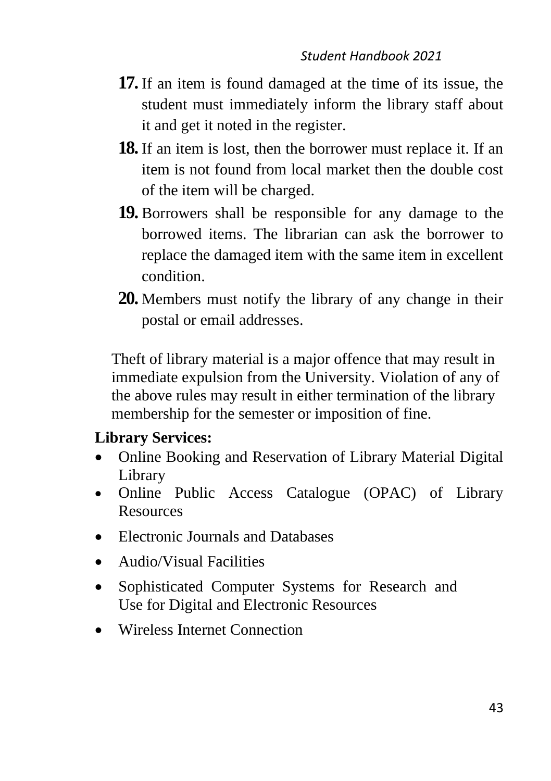- **17.** If an item is found damaged at the time of its issue, the student must immediately inform the library staff about it and get it noted in the register.
- **18.** If an item is lost, then the borrower must replace it. If an item is not found from local market then the double cost of the item will be charged.
- **19.** Borrowers shall be responsible for any damage to the borrowed items. The librarian can ask the borrower to replace the damaged item with the same item in excellent condition.
- **20.** Members must notify the library of any change in their postal or email addresses.

Theft of library material is a major offence that may result in immediate expulsion from the University. Violation of any of the above rules may result in either termination of the library membership for the semester or imposition of fine.

### **Library Services:**

- Online Booking and Reservation of Library Material Digital Library
- Online Public Access Catalogue (OPAC) of Library **Resources**
- Electronic Journals and Databases
- Audio/Visual Facilities
- Sophisticated Computer Systems for Research and Use for Digital and Electronic Resources
- Wireless Internet Connection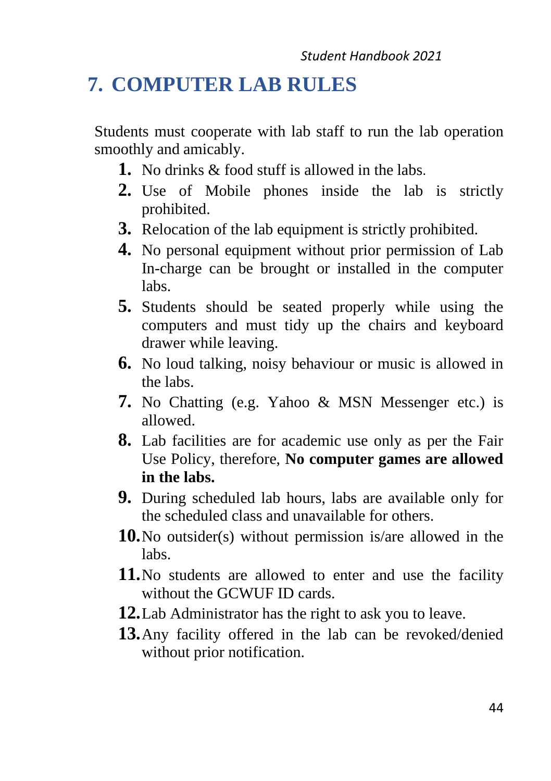## <span id="page-43-0"></span>**7. COMPUTER LAB RULES**

Students must cooperate with lab staff to run the lab operation smoothly and amicably.

- **1.** No drinks & food stuff is allowed in the labs.
- **2.** Use of Mobile phones inside the lab is strictly prohibited.
- **3.** Relocation of the lab equipment is strictly prohibited.
- **4.** No personal equipment without prior permission of Lab In-charge can be brought or installed in the computer labs.
- **5.** Students should be seated properly while using the computers and must tidy up the chairs and keyboard drawer while leaving.
- **6.** No loud talking, noisy behaviour or music is allowed in the labs.
- **7.** No Chatting (e.g. Yahoo & MSN Messenger etc.) is allowed.
- **8.** Lab facilities are for academic use only as per the Fair Use Policy, therefore, **No computer games are allowed in the labs.**
- **9.** During scheduled lab hours, labs are available only for the scheduled class and unavailable for others.
- **10.**No outsider(s) without permission is/are allowed in the labs.
- **11.**No students are allowed to enter and use the facility without the GCWUF ID cards.
- **12.**Lab Administrator has the right to ask you to leave.
- **13.**Any facility offered in the lab can be revoked/denied without prior notification.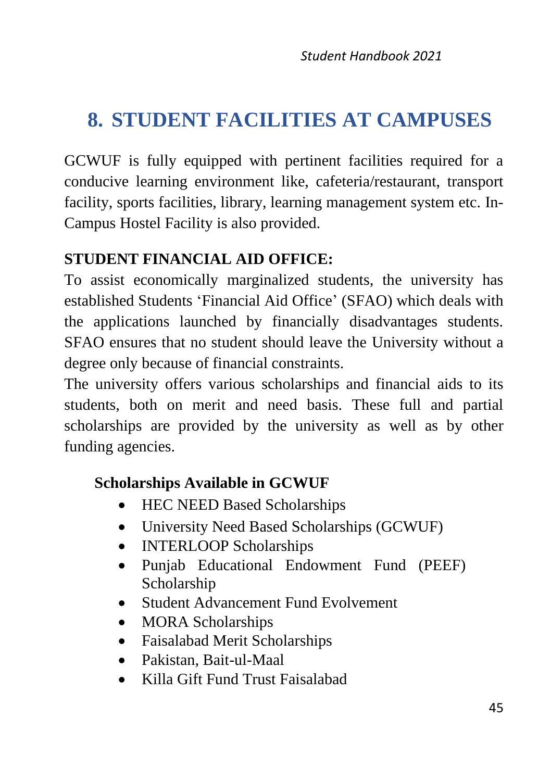# <span id="page-44-0"></span>**8. STUDENT FACILITIES AT CAMPUSES**

GCWUF is fully equipped with pertinent facilities required for a conducive learning environment like, cafeteria/restaurant, transport facility, sports facilities, library, learning management system etc. In-Campus Hostel Facility is also provided.

### **STUDENT FINANCIAL AID OFFICE:**

To assist economically marginalized students, the university has established Students 'Financial Aid Office' (SFAO) which deals with the applications launched by financially disadvantages students. SFAO ensures that no student should leave the University without a degree only because of financial constraints.

The university offers various scholarships and financial aids to its students, both on merit and need basis. These full and partial scholarships are provided by the university as well as by other funding agencies.

## **Scholarships Available in GCWUF**

- HEC NEED Based Scholarships
- University Need Based Scholarships (GCWUF)
- INTERLOOP Scholarships
- Punjab Educational Endowment Fund (PEEF) Scholarship
- Student Advancement Fund Evolvement
- MORA Scholarships
- Faisalabad Merit Scholarships
- Pakistan, Bait-ul-Maal
- Killa Gift Fund Trust Faisalabad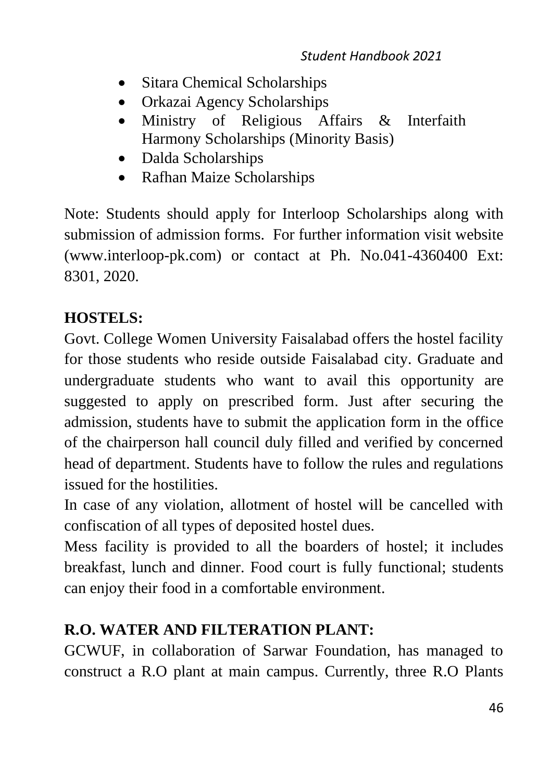- Sitara Chemical Scholarships
- Orkazai Agency Scholarships
- Ministry of Religious Affairs & Interfaith Harmony Scholarships (Minority Basis)
- Dalda Scholarships
- Rafhan Maize Scholarships

Note: Students should apply for Interloop Scholarships along with submission of admission forms. For further information visit website (www.interloop-pk.com) or contact at Ph. No.041-4360400 Ext: 8301, 2020.

## **HOSTELS:**

Govt. College Women University Faisalabad offers the hostel facility for those students who reside outside Faisalabad city. Graduate and undergraduate students who want to avail this opportunity are suggested to apply on prescribed form. Just after securing the admission, students have to submit the application form in the office of the chairperson hall council duly filled and verified by concerned head of department. Students have to follow the rules and regulations issued for the hostilities.

In case of any violation, allotment of hostel will be cancelled with confiscation of all types of deposited hostel dues.

Mess facility is provided to all the boarders of hostel; it includes breakfast, lunch and dinner. Food court is fully functional; students can enjoy their food in a comfortable environment.

## **R.O. WATER AND FILTERATION PLANT:**

GCWUF, in collaboration of Sarwar Foundation, has managed to construct a R.O plant at main campus. Currently, three R.O Plants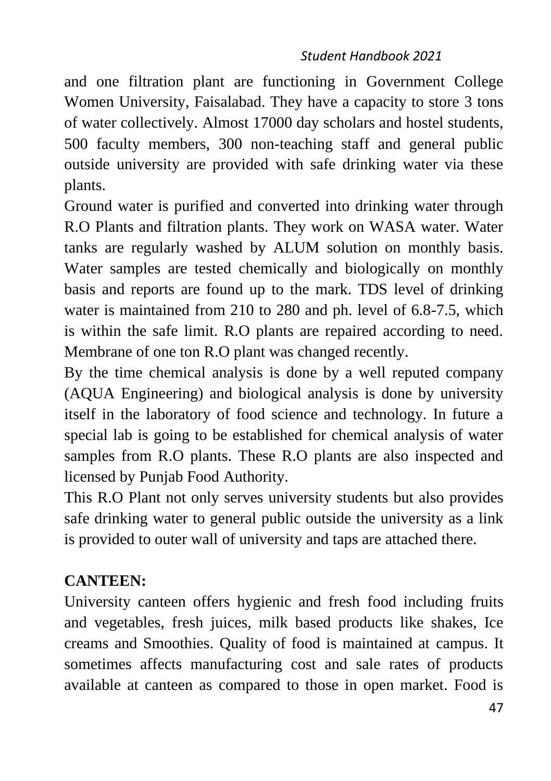#### *Student Handbook 2021*

and one filtration plant are functioning in Government College Women University, Faisalabad. They have a capacity to store 3 tons of water collectively. Almost 17000 day scholars and hostel students, 500 faculty members, 300 non-teaching staff and general public outside university are provided with safe drinking water via these plants.

Ground water is purified and converted into drinking water through R.O Plants and filtration plants. They work on WASA water. Water tanks are regularly washed by ALUM solution on monthly basis. Water samples are tested chemically and biologically on monthly basis and reports are found up to the mark. TDS level of drinking water is maintained from 210 to 280 and ph. level of 6.8-7.5, which is within the safe limit. R.O plants are repaired according to need. Membrane of one ton R.O plant was changed recently.

By the time chemical analysis is done by a well reputed company (AQUA Engineering) and biological analysis is done by university itself in the laboratory of food science and technology. In future a special lab is going to be established for chemical analysis of water samples from R.O plants. These R.O plants are also inspected and licensed by Punjab Food Authority.

This R.O Plant not only serves university students but also provides safe drinking water to general public outside the university as a link is provided to outer wall of university and taps are attached there.

### **CANTEEN:**

University canteen offers hygienic and fresh food including fruits and vegetables, fresh juices, milk based products like shakes, Ice creams and Smoothies. Quality of food is maintained at campus. It sometimes affects manufacturing cost and sale rates of products available at canteen as compared to those in open market. Food is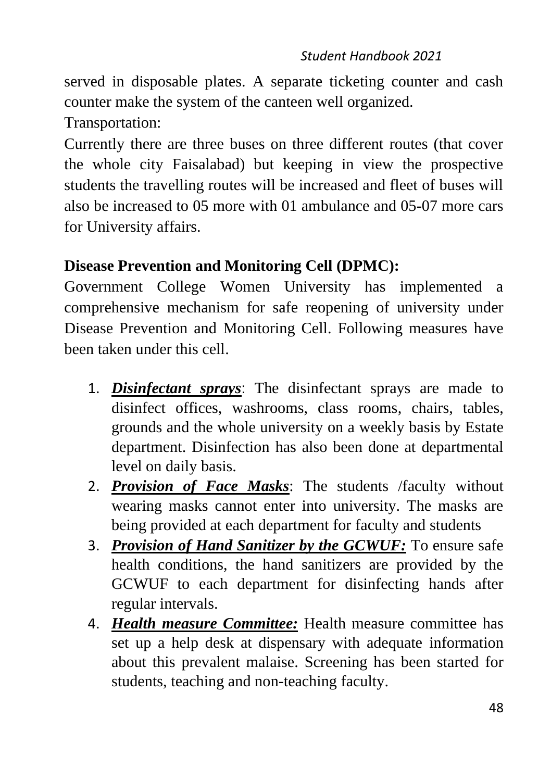#### *Student Handbook 2021*

served in disposable plates. A separate ticketing counter and cash counter make the system of the canteen well organized.

Transportation:

Currently there are three buses on three different routes (that cover the whole city Faisalabad) but keeping in view the prospective students the travelling routes will be increased and fleet of buses will also be increased to 05 more with 01 ambulance and 05-07 more cars for University affairs.

### **Disease Prevention and Monitoring Cell (DPMC):**

Government College Women University has implemented a comprehensive mechanism for safe reopening of university under Disease Prevention and Monitoring Cell. Following measures have been taken under this cell.

- 1. *Disinfectant sprays*: The disinfectant sprays are made to disinfect offices, washrooms, class rooms, chairs, tables, grounds and the whole university on a weekly basis by Estate department. Disinfection has also been done at departmental level on daily basis.
- 2. *Provision of Face Masks*: The students /faculty without wearing masks cannot enter into university. The masks are being provided at each department for faculty and students
- 3. *Provision of Hand Sanitizer by the GCWUF:* To ensure safe health conditions, the hand sanitizers are provided by the GCWUF to each department for disinfecting hands after regular intervals.
- 4. *Health measure Committee:* Health measure committee has set up a help desk at dispensary with adequate information about this prevalent malaise. Screening has been started for students, teaching and non-teaching faculty.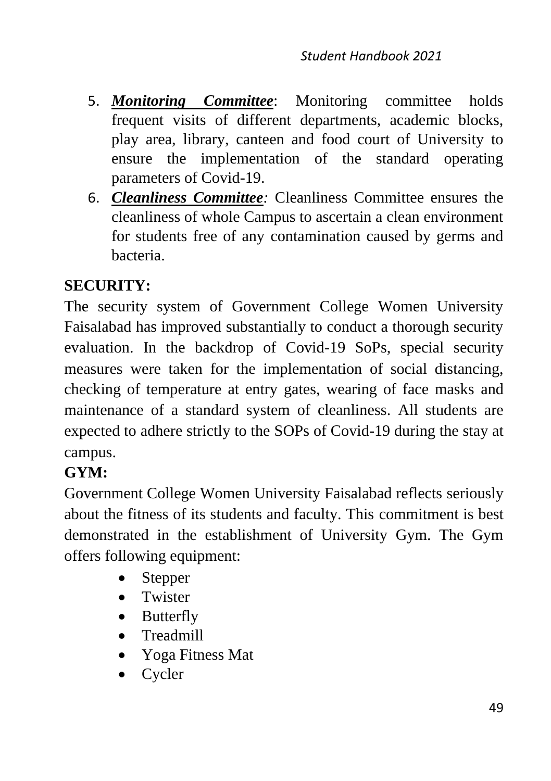- 5. *Monitoring Committee*: Monitoring committee holds frequent visits of different departments, academic blocks, play area, library, canteen and food court of University to ensure the implementation of the standard operating parameters of Covid-19.
- 6. *Cleanliness Committee:* Cleanliness Committee ensures the cleanliness of whole Campus to ascertain a clean environment for students free of any contamination caused by germs and bacteria.

## **SECURITY:**

The security system of Government College Women University Faisalabad has improved substantially to conduct a thorough security evaluation. In the backdrop of Covid-19 SoPs, special security measures were taken for the implementation of social distancing, checking of temperature at entry gates, wearing of face masks and maintenance of a standard system of cleanliness. All students are expected to adhere strictly to the SOPs of Covid-19 during the stay at campus.

## **GYM:**

Government College Women University Faisalabad reflects seriously about the fitness of its students and faculty. This commitment is best demonstrated in the establishment of University Gym. The Gym offers following equipment:

- Stepper
- Twister
- Butterfly
- Treadmill
- Yoga Fitness Mat
- Cycler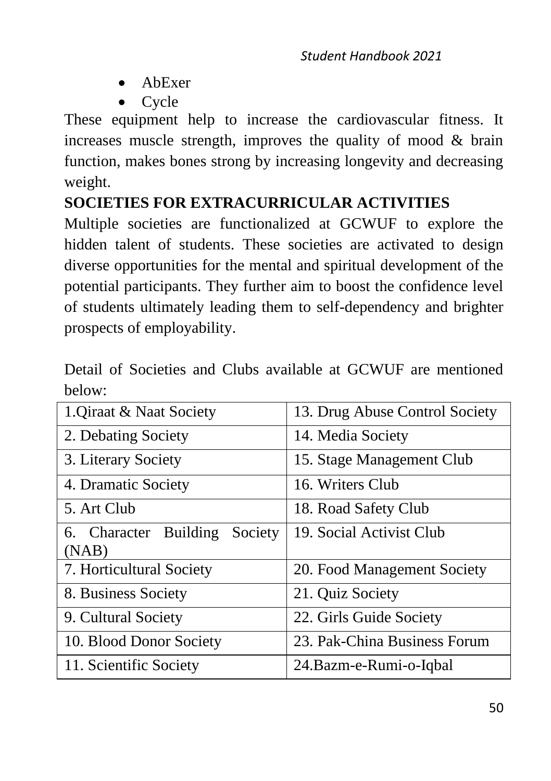- AbExer
- Cycle

These equipment help to increase the cardiovascular fitness. It increases muscle strength, improves the quality of mood & brain function, makes bones strong by increasing longevity and decreasing weight.

## **SOCIETIES FOR EXTRACURRICULAR ACTIVITIES**

Multiple societies are functionalized at GCWUF to explore the hidden talent of students. These societies are activated to design diverse opportunities for the mental and spiritual development of the potential participants. They further aim to boost the confidence level of students ultimately leading them to self-dependency and brighter prospects of employability.

| 1. Qiraat & Naat Society         | 13. Drug Abuse Control Society |  |
|----------------------------------|--------------------------------|--|
| 2. Debating Society              | 14. Media Society              |  |
| 3. Literary Society              | 15. Stage Management Club      |  |
| 4. Dramatic Society              | 16. Writers Club               |  |
| 5. Art Club                      | 18. Road Safety Club           |  |
| 6. Character Building<br>Society | 19. Social Activist Club       |  |
| (NAB)                            |                                |  |
| 7. Horticultural Society         | 20. Food Management Society    |  |
| 8. Business Society              | 21. Quiz Society               |  |
| 9. Cultural Society              | 22. Girls Guide Society        |  |
| 10. Blood Donor Society          | 23. Pak-China Business Forum   |  |
| 11. Scientific Society           | 24.Bazm-e-Rumi-o-Iqbal         |  |

Detail of Societies and Clubs available at GCWUF are mentioned below: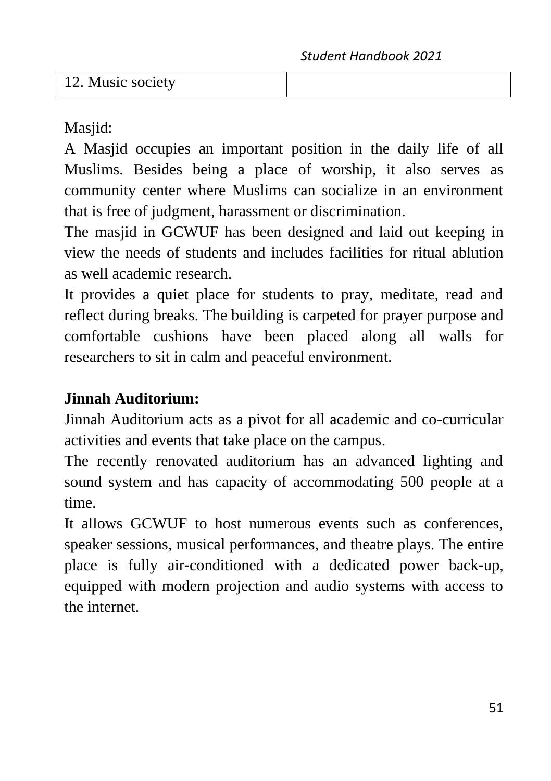12. Music society

Masiid:

A Masjid occupies an important position in the daily life of all Muslims. Besides being a place of worship, it also serves as community center where Muslims can socialize in an environment that is free of judgment, harassment or discrimination.

The masjid in GCWUF has been designed and laid out keeping in view the needs of students and includes facilities for ritual ablution as well academic research.

It provides a quiet place for students to pray, meditate, read and reflect during breaks. The building is carpeted for prayer purpose and comfortable cushions have been placed along all walls for researchers to sit in calm and peaceful environment.

## **Jinnah Auditorium:**

Jinnah Auditorium acts as a pivot for all academic and co-curricular activities and events that take place on the campus.

The recently renovated auditorium has an advanced lighting and sound system and has capacity of accommodating 500 people at a time.

It allows GCWUF to host numerous events such as conferences, speaker sessions, musical performances, and theatre plays. The entire place is fully air-conditioned with a dedicated power back-up, equipped with modern projection and audio systems with access to the internet.